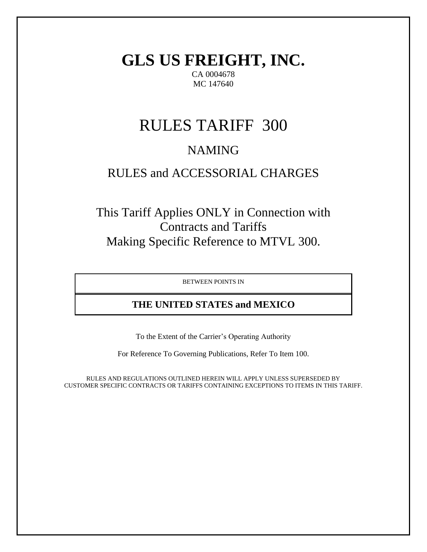**GLS US FREIGHT, INC.** CA 0004678 MC 147640

# RULES TARIFF 300

# NAMING

# RULES and ACCESSORIAL CHARGES

This Tariff Applies ONLY in Connection with Contracts and Tariffs Making Specific Reference to MTVL 300.

BETWEEN POINTS IN

# **THE UNITED STATES and MEXICO**

To the Extent of the Carrier's Operating Authority

For Reference To Governing Publications, Refer To Item 100.

RULES AND REGULATIONS OUTLINED HEREIN WILL APPLY UNLESS SUPERSEDED BY CUSTOMER SPECIFIC CONTRACTS OR TARIFFS CONTAINING EXCEPTIONS TO ITEMS IN THIS TARIFF.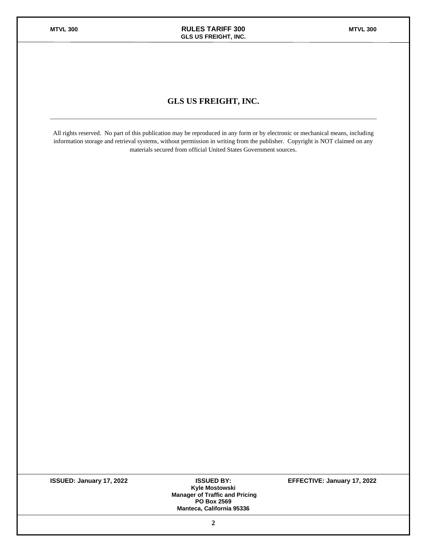### **GLS US FREIGHT, INC.**

All rights reserved. No part of this publication may be reproduced in any form or by electronic or mechanical means, including information storage and retrieval systems, without permission in writing from the publisher. Copyright is NOT claimed on any materials secured from official United States Government sources.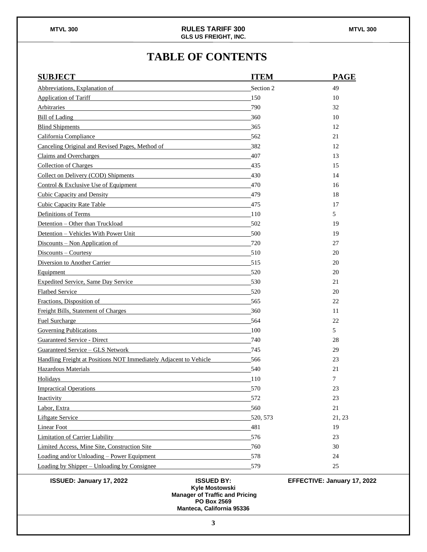# **TABLE OF CONTENTS**

| <b>SUBJECT</b>                                                                                                                                                                                                                      | <b>ITEM</b>       | <b>PAGE</b>                 |
|-------------------------------------------------------------------------------------------------------------------------------------------------------------------------------------------------------------------------------------|-------------------|-----------------------------|
| Abbreviations, Explanation of Theorem 2012 and 2012 and 2012 and 2012 and 2012 and 2012 and 2012 and 2012 and 2012 and 2012 and 2012 and 2012 and 2012 and 2012 and 2012 and 2012 and 2012 and 2012 and 2012 and 2012 and 2012      | Section 2         | 49                          |
| Application of Tariff <b>Exercísies Material Application of Tariff</b>                                                                                                                                                              | 150               | 10                          |
| Arbitraries                                                                                                                                                                                                                         | 790               | 32                          |
| Bill of Lading<br><u> 1980 - Johann Stoff, deutscher Stoff, der Stoff, der Stoff, der Stoff, der Stoff, der Stoff, der Stoff, der S</u>                                                                                             | 360               | 10                          |
| Blind Shipments and the contract of the state of the state of the state of the state of the state of the state of the state of the state of the state of the state of the state of the state of the state of the state of the       | 365               | 12                          |
| California Compliance 562                                                                                                                                                                                                           |                   | 21                          |
| Canceling Original and Revised Pages, Method of                                                                                                                                                                                     | 382               | 12                          |
| Claims and Overcharges <b>Example 2018</b> 2019 12:00:00 12:00:00 12:00:00 12:00:00 12:00:00 12:00:00 12:00:00 12:00:00 12:00:00 12:00:00 12:00:00 12:00:00 12:00:00 12:00:00 12:00:00 12:00:00 12:00:00 12:00:00 12:00:00 12:00:00 | 407               | 13                          |
| <b>Collection of Charges</b>                                                                                                                                                                                                        | 435               | 15                          |
| Collect on Delivery (COD) Shipments 430                                                                                                                                                                                             |                   | 14                          |
| Control & Exclusive Use of Equipment                                                                                                                                                                                                | 470               | 16                          |
| Cubic Capacity and Density Cubic Capacity and Theorem 2014                                                                                                                                                                          | 479               | 18                          |
| Cubic Capacity Rate Table <b>Capacity Rate Table</b>                                                                                                                                                                                | 475               | 17                          |
| Definitions of Terms                                                                                                                                                                                                                | 110               | 5                           |
| Detention - Other than Truckload                                                                                                                                                                                                    | 502               | 19                          |
| Detention - Vehicles With Power Unit                                                                                                                                                                                                | 500               | 19                          |
| Discounts – Non Application of                                                                                                                                                                                                      | 720               | 27                          |
| Discounts – Courtesy                                                                                                                                                                                                                | 510               | 20                          |
| Diversion to Another Carrier 515                                                                                                                                                                                                    |                   | 20                          |
| Equipment<br>and the control of the control of the control of the control of the control of the control of the control of the                                                                                                       | 520               | 20                          |
| Expedited Service, Same Day Service                                                                                                                                                                                                 | 530               | 21                          |
| <b>Flatbed Service</b>                                                                                                                                                                                                              | 520               | 20                          |
| Fractions, Disposition of                                                                                                                                                                                                           | 565               | 22                          |
| Freight Bills, Statement of Charges                                                                                                                                                                                                 | 360               | 11                          |
| Fuel Surcharge<br><u> 1989 - Johann Barbara, martxa alemaniar amerikan basar da da a shekara 1980 - Andrew Santa Barbara, a shekar</u>                                                                                              | 564               | 22                          |
| <b>Governing Publications</b>                                                                                                                                                                                                       | 100               | 5                           |
|                                                                                                                                                                                                                                     | 740               | 28                          |
| Guaranteed Service – GLS Network                                                                                                                                                                                                    | 745               | 29                          |
| Handling Freight at Positions NOT Immediately Adjacent to Vehicle                                                                                                                                                                   | 566               | 23                          |
| Hazardous Materials <b>Materials Exercísion Exercísion Exercísion Exercísion Exercísion Exercísion Exercísion</b>                                                                                                                   | 540               | 21                          |
| Holidays                                                                                                                                                                                                                            | 110               | 7                           |
| <b>Impractical Operations</b>                                                                                                                                                                                                       | 570               | 23                          |
| Inactivity                                                                                                                                                                                                                          | 572               | 23                          |
| Labor, Extra                                                                                                                                                                                                                        | 560               | 21                          |
| Liftgate Service <b>Exercise</b> Service <b>Exercise</b> Service <b>Exercise Service</b> Service <b>Exercise</b> Service                                                                                                            | 520, 573          | 21, 23                      |
| Linear Foot                                                                                                                                                                                                                         | 481               | 19                          |
| <b>Limitation of Carrier Liability</b>                                                                                                                                                                                              | 576               | 23                          |
| Limited Access, Mine Site, Construction Site                                                                                                                                                                                        | 760               | 30                          |
| Loading and/or Unloading – Power Equipment                                                                                                                                                                                          | 578               | 24                          |
| Loading by Shipper – Unloading by Consignee                                                                                                                                                                                         | 579               | 25                          |
| ISSUED: January 17, 2022                                                                                                                                                                                                            | <b>ISSUED BY:</b> | EFFECTIVE: January 17, 2022 |

**Kyle Mostowski Manager of Traffic and Pricing PO Box 2569 Manteca, California 95336**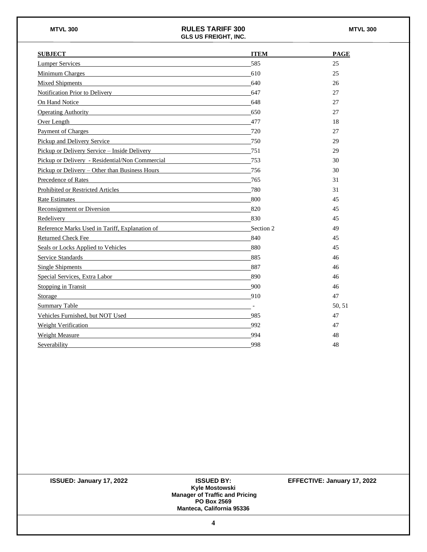| <b>SUBJECT</b>                                                                                                                                                                                                                      | <b>ITEM</b>              | <b>PAGE</b> |
|-------------------------------------------------------------------------------------------------------------------------------------------------------------------------------------------------------------------------------------|--------------------------|-------------|
| Lumper Services <b>Example 2018</b>                                                                                                                                                                                                 | 585                      | 25          |
| Minimum Charges Minimum Charges                                                                                                                                                                                                     | 610                      | 25          |
| <b>Mixed Shipments</b>                                                                                                                                                                                                              | 640                      | 26          |
| Notification Prior to Delivery<br>Notification Prior to Delivery                                                                                                                                                                    | 647                      | 27          |
| On Hand Notice<br><u> 1989 - Johann Stoff, deutscher Stoff, der Stoff, der Stoff, der Stoff, der Stoff, der Stoff, der Stoff, der S</u>                                                                                             | 648                      | 27          |
| Operating Authority <b>Container and Container and Container and Container and Container</b>                                                                                                                                        | 650                      | 27          |
| <u>Over Length</u> experience and the contract of the contract of the contract of the contract of the contract of the contract of the contract of the contract of the contract of the contract of the contract of the contract of t | 477                      | 18          |
| Payment of Charges <b>Example 2</b> and 2 and 2 and 2 and 2 and 2 and 2 and 2 and 2 and 2 and 2 and 2 and 2 and 2 and 2 and 2 and 2 and 2 and 2 and 2 and 2 and 2 and 2 and 2 and 2 and 2 and 2 and 2 and 2 and 2 and 2 and 2 and 2 | 720                      | 27          |
| Pickup and Delivery Service 750                                                                                                                                                                                                     |                          | 29          |
| <u>Pickup or Delivery Service – Inside Delivery</u>                                                                                                                                                                                 | 751                      | 29          |
| Pickup or Delivery - Residential/Non Commercial                                                                                                                                                                                     | 753                      | 30          |
| <u>Pickup or Delivery – Other than Business Hours</u> 256                                                                                                                                                                           |                          | 30          |
| Precedence of Rates                                                                                                                                                                                                                 | 765                      | 31          |
| Prohibited or Restricted Articles 780                                                                                                                                                                                               |                          | 31          |
| Rate Estimates                                                                                                                                                                                                                      | 800                      | 45          |
| Reconsignment or Diversion                                                                                                                                                                                                          | 820                      | 45          |
| Redelivery                                                                                                                                                                                                                          | 830                      | 45          |
| Reference Marks Used in Tariff, Explanation of Section 2                                                                                                                                                                            |                          | 49          |
| 840<br><b>Returned Check Fee</b>                                                                                                                                                                                                    |                          | 45          |
| Seals or Locks Applied to Vehicles 880                                                                                                                                                                                              |                          | 45          |
| Service Standards Service Standards Service Standards Service Standards Service Standards Service Standards Service Standards Service Standards Service Standards Service Standards Service Standards Service Standards Servic      | 885                      | 46          |
| <b>Single Shipments</b><br><u> 1980 - Johann Barbara, martin amerikan basar dan berasal dalam basa dalam basar dalam basar dalam basar dalam</u>                                                                                    | 887                      | 46          |
| Special Services, Extra Labor Services and Services and Services and Services and Services and Services and Services and Services and Services and Services and Services and Services and Services and Services and Services a      | 890                      | 46          |
| Stopping in Transit                                                                                                                                                                                                                 | 900                      | 46          |
| Storage                                                                                                                                                                                                                             | 910                      | 47          |
| Summary Table                                                                                                                                                                                                                       | $\overline{\phantom{a}}$ | 50, 51      |
| Vehicles Furnished, but NOT Used<br>Martin Ann and Alexander Ann an Indian and Alexander Ann and Alexander Ann and Alexander Ann and Alexander An                                                                                   | 985                      | 47          |
| Weight Verification Manual Manual Communication and Manual Communication and Manual Communication and Manual Communication and Manual Communication and Manual Communication and Manual Communication and Manual Communication      | 992                      | 47          |
| Weight Measure                                                                                                                                                                                                                      | 994                      | 48          |
| Severability                                                                                                                                                                                                                        | 998                      | 48          |

| <b>ISSUED: January 17, 2022</b> | <b>ISSUED BY:</b>                     | EFFECTIVE: January 17, 2022 |
|---------------------------------|---------------------------------------|-----------------------------|
|                                 | Kyle Mostowski                        |                             |
|                                 | <b>Manager of Traffic and Pricing</b> |                             |
|                                 | <b>PO Box 2569</b>                    |                             |
|                                 | <b>Manteca, California 95336</b>      |                             |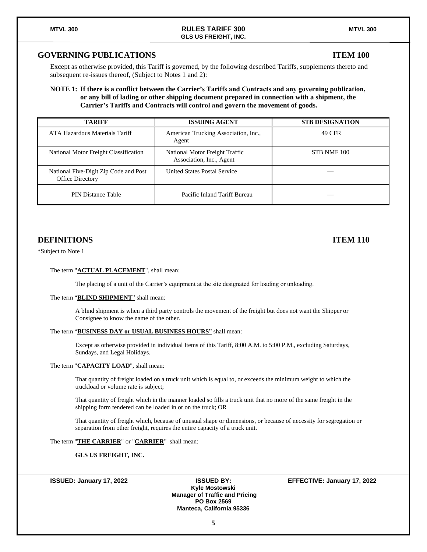#### **GOVERNING PUBLICATIONS ITEM 100**

Except as otherwise provided, this Tariff is governed, by the following described Tariffs, supplements thereto and subsequent re-issues thereof, (Subject to Notes 1 and 2):

#### **NOTE 1: If there is a conflict between the Carrier's Tariffs and Contracts and any governing publication, or any bill of lading or other shipping document prepared in connection with a shipment, the Carrier's Tariffs and Contracts will control and govern the movement of goods.**

| <b>TARIFF</b>                                                    | <b>ISSUING AGENT</b>                                       | <b>STB DESIGNATION</b> |
|------------------------------------------------------------------|------------------------------------------------------------|------------------------|
| ATA Hazardous Materials Tariff                                   | American Trucking Association, Inc.,<br>Agent              | 49 CFR                 |
| National Motor Freight Classification                            | National Motor Freight Traffic<br>Association, Inc., Agent | STB NMF 100            |
| National Five-Digit Zip Code and Post<br><b>Office Directory</b> | <b>United States Postal Service</b>                        |                        |
| PIN Distance Table                                               | Pacific Inland Tariff Bureau                               |                        |

#### **DEFINITIONS ITEM 110**

\*Subject to Note 1

#### The term "**ACTUAL PLACEMENT**", shall mean:

The placing of a unit of the Carrier's equipment at the site designated for loading or unloading.

#### The term "**BLIND SHIPMENT**" shall mean:

A blind shipment is when a third party controls the movement of the freight but does not want the Shipper or Consignee to know the name of the other.

#### The term "**BUSINESS DAY or USUAL BUSINESS HOURS**" shall mean:

Except as otherwise provided in individual Items of this Tariff, 8:00 A.M. to 5:00 P.M., excluding Saturdays, Sundays, and Legal Holidays.

#### The term "**CAPACITY LOAD**", shall mean:

That quantity of freight loaded on a truck unit which is equal to, or exceeds the minimum weight to which the truckload or volume rate is subject;

That quantity of freight which in the manner loaded so fills a truck unit that no more of the same freight in the shipping form tendered can be loaded in or on the truck; OR

That quantity of freight which, because of unusual shape or dimensions, or because of necessity for segregation or separation from other freight, requires the entire capacity of a truck unit.

#### The term "**THE CARRIER**" or "**CARRIER**" shall mean:

#### **GLS US FREIGHT, INC.**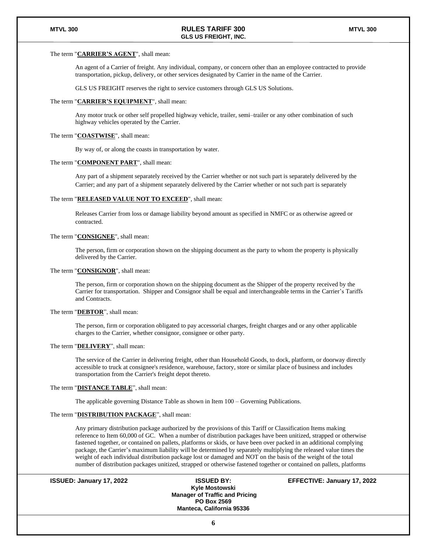#### The term "**CARRIER'S AGENT**", shall mean:

An agent of a Carrier of freight. Any individual, company, or concern other than an employee contracted to provide transportation, pickup, delivery, or other services designated by Carrier in the name of the Carrier.

GLS US FREIGHT reserves the right to service customers through GLS US Solutions.

#### The term "**CARRIER'S EQUIPMENT**", shall mean:

Any motor truck or other self propelled highway vehicle, trailer, semi–trailer or any other combination of such highway vehicles operated by the Carrier.

#### The term "**COASTWISE**", shall mean:

By way of, or along the coasts in transportation by water.

#### The term "**COMPONENT PART**", shall mean:

Any part of a shipment separately received by the Carrier whether or not such part is separately delivered by the Carrier; and any part of a shipment separately delivered by the Carrier whether or not such part is separately

#### The term "**RELEASED VALUE NOT TO EXCEED**", shall mean:

Releases Carrier from loss or damage liability beyond amount as specified in NMFC or as otherwise agreed or contracted.

#### The term "**CONSIGNEE**", shall mean:

The person, firm or corporation shown on the shipping document as the party to whom the property is physically delivered by the Carrier.

#### The term "**CONSIGNOR**", shall mean:

The person, firm or corporation shown on the shipping document as the Shipper of the property received by the Carrier for transportation. Shipper and Consignor shall be equal and interchangeable terms in the Carrier's Tariffs and Contracts.

#### The term "**DEBTOR**", shall mean:

The person, firm or corporation obligated to pay accessorial charges, freight charges and or any other applicable charges to the Carrier, whether consignor, consignee or other party.

#### The term "**DELIVERY**", shall mean:

The service of the Carrier in delivering freight, other than Household Goods, to dock, platform, or doorway directly accessible to truck at consignee's residence, warehouse, factory, store or similar place of business and includes transportation from the Carrier's freight depot thereto.

#### The term "**DISTANCE TABLE**", shall mean:

The applicable governing Distance Table as shown in Item 100 – Governing Publications.

#### The term "**DISTRIBUTION PACKAGE**", shall mean:

Any primary distribution package authorized by the provisions of this Tariff or Classification Items making reference to Item 60,000 of GC. When a number of distribution packages have been unitized, strapped or otherwise fastened together, or contained on pallets, platforms or skids, or have been over packed in an additional complying package, the Carrier's maximum liability will be determined by separately multiplying the released value times the weight of each individual distribution package lost or damaged and NOT on the basis of the weight of the total number of distribution packages unitized, strapped or otherwise fastened together or contained on pallets, platforms

**ISSUED: January 17, 2022 ISSUED BY: EFFECTIVE: January 17, 2022**

**Kyle Mostowski Manager of Traffic and Pricing PO Box 2569 Manteca, California 95336**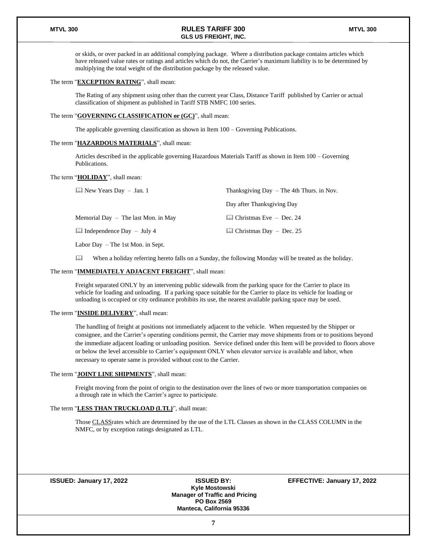or skids, or over packed in an additional complying package. Where a distribution package contains articles which have released value rates or ratings and articles which do not, the Carrier's maximum liability is to be determined by multiplying the total weight of the distribution package by the released value.

#### The term "**EXCEPTION RATING**", shall mean:

The Rating of any shipment using other than the current year Class, Distance Tariff published by Carrier or actual classification of shipment as published in Tariff STB NMFC 100 series.

#### The term "**GOVERNING CLASSIFICATION or (GC)**", shall mean:

The applicable governing classification as shown in Item 100 – Governing Publications.

#### The term "**HAZARDOUS MATERIALS**", shall mean:

Articles described in the applicable governing Hazardous Materials Tariff as shown in Item 100 – Governing Publications.

#### The term "**HOLIDAY**", shall mean:

| $\Box$ New Years Day $-$ Jan. 1        | Thanksgiving Day $-$ The 4th Thurs. in Nov. |
|----------------------------------------|---------------------------------------------|
|                                        | Day after Thanksgiving Day                  |
| Memorial Day $-$ The last Mon. in May  | $\Box$ Christmas Eve – Dec. 24              |
| $\mathbb{L}$ Independence Day – July 4 | $\Box$ Christmas Day – Dec. 25              |
| Labor Day $-$ The 1st Mon. in Sept.    |                                             |

When a holiday referring hereto falls on a Sunday, the following Monday will be treated as the holiday.

#### The term "**IMMEDIATELY ADJACENT FREIGHT**", shall mean:

Freight separated ONLY by an intervening public sidewalk from the parking space for the Carrier to place its vehicle for loading and unloading. If a parking space suitable for the Carrier to place its vehicle for loading or unloading is occupied or city ordinance prohibits its use, the nearest available parking space may be used.

#### The term "**INSIDE DELIVERY**", shall mean:

The handling of freight at positions not immediately adjacent to the vehicle. When requested by the Shipper or consignee, and the Carrier's operating conditions permit, the Carrier may move shipments from or to positions beyond the immediate adjacent loading or unloading position. Service defined under this Item will be provided to floors above or below the level accessible to Carrier's equipment ONLY when elevator service is available and labor, when necessary to operate same is provided without cost to the Carrier.

#### The term "**JOINT LINE SHIPMENTS**", shall mean:

Freight moving from the point of origin to the destination over the lines of two or more transportation companies on a through rate in which the Carrier's agree to participate.

#### The term "**LESS THAN TRUCKLOAD (LTL)**", shall mean:

Those CLASSrates which are determined by the use of the LTL Classes as shown in the CLASS COLUMN in the NMFC, or by exception ratings designated as LTL.

**Kyle Mostowski Manager of Traffic and Pricing PO Box 2569 Manteca, California 95336**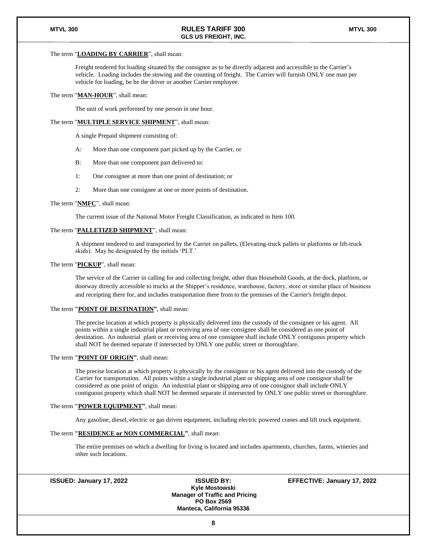#### The term "**LOADING BY CARRIER**", shall mean:

Freight tendered for loading situated by the consignor as to be directly adjacent and accessible to the Carrier's vehicle. Loading includes the stowing and the counting of freight. The Carrier will furnish ONLY one man per vehicle for loading, be he the driver or another Carrier employee.

#### The term "**MAN-HOUR**", shall mean:

The unit of work performed by one person in one hour.

#### The term "**MULTIPLE SERVICE SHIPMENT**", shall mean:

A single Prepaid shipment consisting of:

- A: More than one component part picked up by the Carrier, or
- B: More than one component part delivered to:
- 1: One consignee at more than one point of destination; or
- 2: More than one consignee at one or more points of destination.

#### The term "**NMFC**", shall mean:

The current issue of the National Motor Freight Classification, as indicated in Item 100.

#### The term "**PALLETIZED SHIPMENT**", shall mean:

A shipment tendered to and transported by the Carrier on pallets, (Elevating-truck pallets or platforms or lift-truck skids). May be designated by the initials 'PLT.'

#### The term "**PICKUP**", shall mean:

The service of the Carrier in calling for and collecting freight, other than Household Goods, at the dock, platform, or doorway directly accessible to trucks at the Shipper's residence, warehouse, factory, store or similar place of business and receipting there for, and includes transportation there from to the premises of the Carrier's freight depot.

#### The term **"POINT OF DESTINATION"**, shall mean:

The precise location at which property is physically delivered into the custody of the consignee or his agent. All points within a single industrial plant or receiving area of one consignee shall be considered as one point of destination. An industrial plant or receiving area of one consignee shall include ONLY contiguous property which shall NOT be deemed separate if intersected by ONLY one public street or thoroughfare.

#### The term **"POINT OF ORIGIN"**, shall mean:

The precise location at which property is physically by the consignor or his agent delivered into the custody of the Carrier for transportation. All points within a single industrial plant or shipping area of one consignor shall be considered as one point of origin. An industrial plant or shipping area of one consignor shall include ONLY contiguous property which shall NOT be deemed separate if intersected by ONLY one public street or thoroughfare.

#### The term **"POWER EQUIPMENT"**, shall mean:

Any gasoline, diesel, electric or gas driven equipment, including electric powered cranes and lift truck equipment.

#### The term **"RESIDENCE or NON COMMERCIAL"**, shall mean:

The entire premises on which a dwelling for living is located and includes apartments, churches, farms, wineries and other such locations.

**Kyle Mostowski Manager of Traffic and Pricing PO Box 2569 Manteca, California 95336**

**ISSUED: January 17, 2022 ISSUED BY: EFFECTIVE: January 17, 2022**

**8**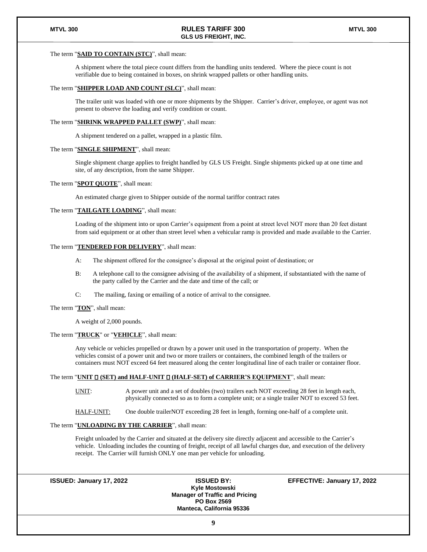#### The term "**SAID TO CONTAIN (STC)**", shall mean:

A shipment where the total piece count differs from the handling units tendered. Where the piece count is not verifiable due to being contained in boxes, on shrink wrapped pallets or other handling units.

#### The term "**SHIPPER LOAD AND COUNT (SLC)**", shall mean:

The trailer unit was loaded with one or more shipments by the Shipper. Carrier's driver, employee, or agent was not present to observe the loading and verify condition or count.

#### The term "**SHRINK WRAPPED PALLET (SWP)**", shall mean:

A shipment tendered on a pallet, wrapped in a plastic film.

#### The term "**SINGLE SHIPMENT**", shall mean:

Single shipment charge applies to freight handled by GLS US Freight. Single shipments picked up at one time and site, of any description, from the same Shipper.

#### The term "**SPOT QUOTE**", shall mean:

An estimated charge given to Shipper outside of the normal tariffor contract rates

#### The term "**TAILGATE LOADING**", shall mean:

Loading of the shipment into or upon Carrier's equipment from a point at street level NOT more than 20 feet distant from said equipment or at other than street level when a vehicular ramp is provided and made available to the Carrier.

#### The term "**TENDERED FOR DELIVERY**", shall mean:

- A: The shipment offered for the consignee's disposal at the original point of destination; or
- B: A telephone call to the consignee advising of the availability of a shipment, if substantiated with the name of the party called by the Carrier and the date and time of the call; or
- C: The mailing, faxing or emailing of a notice of arrival to the consignee.

#### The term "**TON**", shall mean:

A weight of 2,000 pounds.

#### The term "**TRUCK**" or "**VEHICLE**", shall mean:

Any vehicle or vehicles propelled or drawn by a power unit used in the transportation of property. When the vehicles consist of a power unit and two or more trailers or containers, the combined length of the trailers or containers must NOT exceed 64 feet measured along the center longitudinal line of each trailer or container floor.

#### The term "UNIT  $\square$  (SET) and HALF-UNIT  $\square$  (HALF-SET) of CARRIER'S EQUIPMENT", shall mean:

UNIT: A power unit and a set of doubles (two) trailers each NOT exceeding 28 feet in length each, physically connected so as to form a complete unit; or a single trailer NOT to exceed 53 feet.

HALF-UNIT: One double trailerNOT exceeding 28 feet in length, forming one-half of a complete unit.

#### The term "**UNLOADING BY THE CARRIER**", shall mean:

Freight unloaded by the Carrier and situated at the delivery site directly adjacent and accessible to the Carrier's vehicle. Unloading includes the counting of freight, receipt of all lawful charges due, and execution of the delivery receipt. The Carrier will furnish ONLY one man per vehicle for unloading.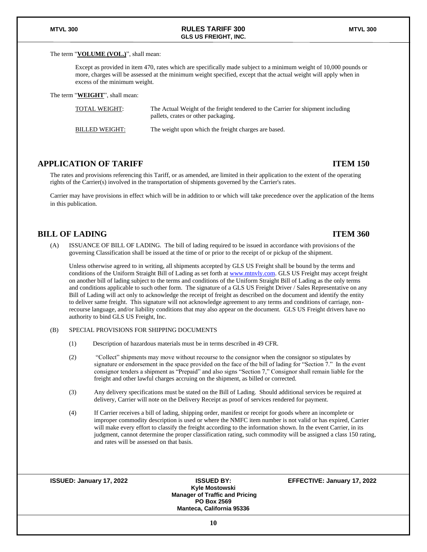#### The term "**VOLUME (VOL.)**", shall mean:

Except as provided in item 470, rates which are specifically made subject to a minimum weight of 10,000 pounds or more, charges will be assessed at the minimum weight specified, except that the actual weight will apply when in excess of the minimum weight.

The term "**WEIGHT**", shall mean:

| <b>TOTAL WEIGHT:</b>  | The Actual Weight of the freight tendered to the Carrier for shipment including<br>pallets, crates or other packaging. |
|-----------------------|------------------------------------------------------------------------------------------------------------------------|
| <b>BILLED WEIGHT:</b> | The weight upon which the freight charges are based.                                                                   |

### **APPLICATION OF TARIFF ITEM 150**

The rates and provisions referencing this Tariff, or as amended, are limited in their application to the extent of the operating rights of the Carrier(s) involved in the transportation of shipments governed by the Carrier's rates.

Carrier may have provisions in effect which will be in addition to or which will take precedence over the application of the Items in this publication.

#### **BILL OF LADING ITEM 360**

(A) ISSUANCE OF BILL OF LADING. The bill of lading required to be issued in accordance with provisions of the governing Classification shall be issued at the time of or prior to the receipt of or pickup of the shipment.

Unless otherwise agreed to in writing, all shipments accepted by GLS US Freight shall be bound by the terms and conditions of the Uniform Straight Bill of Lading as set forth a[t www.mtnvly.com.](http://www.mtnvly.com/) GLS US Freight may accept freight on another bill of lading subject to the terms and conditions of the Uniform Straight Bill of Lading as the only terms and conditions applicable to such other form. The signature of a GLS US Freight Driver / Sales Representative on any Bill of Lading will act only to acknowledge the receipt of freight as described on the document and identify the entity to deliver same freight. This signature will not acknowledge agreement to any terms and conditions of carriage, nonrecourse language, and/or liability conditions that may also appear on the document. GLS US Freight drivers have no authority to bind GLS US Freight, Inc.

#### (B) SPECIAL PROVISIONS FOR SHIPPING DOCUMENTS

- (1) Description of hazardous materials must be in terms described in 49 CFR.
- (2) "Collect" shipments may move without recourse to the consignor when the consignor so stipulates by signature or endorsement in the space provided on the face of the bill of lading for "Section 7." In the event consignor tenders a shipment as "Prepaid" and also signs "Section 7," Consignor shall remain liable for the freight and other lawful charges accruing on the shipment, as billed or corrected.
- (3) Any delivery specifications must be stated on the Bill of Lading. Should additional services be required at delivery, Carrier will note on the Delivery Receipt as proof of services rendered for payment.
- (4) If Carrier receives a bill of lading, shipping order, manifest or receipt for goods where an incomplete or improper commodity description is used or where the NMFC item number is not valid or has expired, Carrier will make every effort to classify the freight according to the information shown. In the event Carrier, in its judgment, cannot determine the proper classification rating, such commodity will be assigned a class 150 rating, and rates will be assessed on that basis.

**Kyle Mostowski Manager of Traffic and Pricing PO Box 2569 Manteca, California 95336**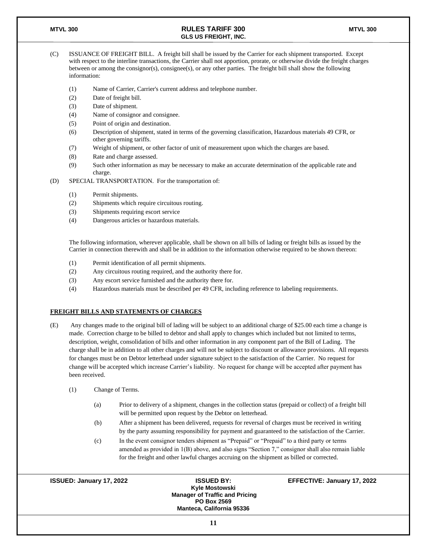- (C) ISSUANCE OF FREIGHT BILL. A freight bill shall be issued by the Carrier for each shipment transported. Except with respect to the interline transactions, the Carrier shall not apportion, prorate, or otherwise divide the freight charges between or among the consignor(s), consignee(s), or any other parties. The freight bill shall show the following information:
	- (1) Name of Carrier, Carrier's current address and telephone number.
	- (2) Date of freight bill.
	- (3) Date of shipment.
	- (4) Name of consignor and consignee.
	- (5) Point of origin and destination.
	- (6) Description of shipment, stated in terms of the governing classification, Hazardous materials 49 CFR, or other governing tariffs.
	- (7) Weight of shipment, or other factor of unit of measurement upon which the charges are based.
	- (8) Rate and charge assessed.
	- (9) Such other information as may be necessary to make an accurate determination of the applicable rate and charge.
- (D) SPECIAL TRANSPORTATION. For the transportation of:
	- (1) Permit shipments.
	- (2) Shipments which require circuitous routing.
	- (3) Shipments requiring escort service
	- (4) Dangerous articles or hazardous materials.

The following information, wherever applicable, shall be shown on all bills of lading or freight bills as issued by the Carrier in connection therewith and shall be in addition to the information otherwise required to be shown thereon:

- (1) Permit identification of all permit shipments.
- (2) Any circuitous routing required, and the authority there for.
- (3) Any escort service furnished and the authority there for.
- (4) Hazardous materials must be described per 49 CFR, including reference to labeling requirements.

#### **FREIGHT BILLS AND STATEMENTS OF CHARGES**

- (E) Any changes made to the original bill of lading will be subject to an additional charge of \$25.00 each time a change is made. Correction charge to be billed to debtor and shall apply to changes which included but not limited to terms, description, weight, consolidation of bills and other information in any component part of the Bill of Lading. The charge shall be in addition to all other charges and will not be subject to discount or allowance provisions. All requests for changes must be on Debtor letterhead under signature subject to the satisfaction of the Carrier. No request for change will be accepted which increase Carrier's liability. No request for change will be accepted after payment has been received.
	- (1) Change of Terms.
		- (a) Prior to delivery of a shipment, changes in the collection status (prepaid or collect) of a freight bill will be permitted upon request by the Debtor on letterhead.
		- (b) After a shipment has been delivered, requests for reversal of charges must be received in writing by the party assuming responsibility for payment and guaranteed to the satisfaction of the Carrier.
		- (c) In the event consignor tenders shipment as "Prepaid" or "Prepaid" to a third party or terms amended as provided in 1(B) above, and also signs "Section 7," consignor shall also remain liable for the freight and other lawful charges accruing on the shipment as billed or corrected.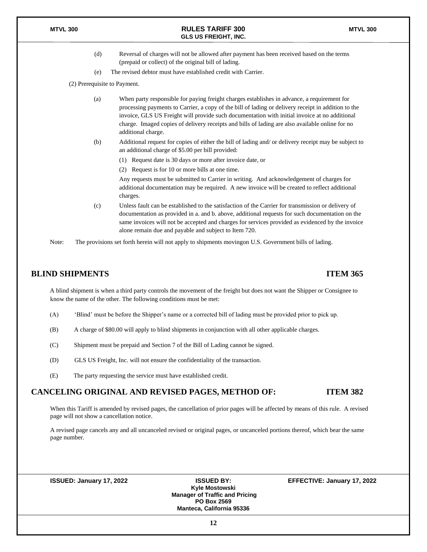- (d) Reversal of charges will not be allowed after payment has been received based on the terms (prepaid or collect) of the original bill of lading.
- (e) The revised debtor must have established credit with Carrier.

(2) Prerequisite to Payment.

- (a) When party responsible for paying freight charges establishes in advance, a requirement for processing payments to Carrier, a copy of the bill of lading or delivery receipt in addition to the invoice, GLS US Freight will provide such documentation with initial invoice at no additional charge. Imaged copies of delivery receipts and bills of lading are also available online for no additional charge.
- (b) Additional request for copies of either the bill of lading and/ or delivery receipt may be subject to an additional charge of \$5.00 per bill provided:
	- (1) Request date is 30 days or more after invoice date, or
	- (2) Request is for 10 or more bills at one time.

Any requests must be submitted to Carrier in writing. And acknowledgement of charges for additional documentation may be required. A new invoice will be created to reflect additional charges.

(c) Unless fault can be established to the satisfaction of the Carrier for transmission or delivery of documentation as provided in a. and b. above, additional requests for such documentation on the same invoices will not be accepted and charges for services provided as evidenced by the invoice alone remain due and payable and subject to Item 720.

Note: The provisions set forth herein will not apply to shipments movingon U.S. Government bills of lading.

### **BLIND SHIPMENTS ITEM 365**

A blind shipment is when a third party controls the movement of the freight but does not want the Shipper or Consignee to know the name of the other. The following conditions must be met:

- (A) 'Blind' must be before the Shipper's name or a corrected bill of lading must be provided prior to pick up.
- (B) A charge of \$80.00 will apply to blind shipments in conjunction with all other applicable charges.
- (C) Shipment must be prepaid and Section 7 of the Bill of Lading cannot be signed.
- (D) GLS US Freight, Inc. will not ensure the confidentiality of the transaction.
- (E) The party requesting the service must have established credit.

#### **CANCELING ORIGINAL AND REVISED PAGES, METHOD OF: ITEM 382**

When this Tariff is amended by revised pages, the cancellation of prior pages will be affected by means of this rule. A revised page will not show a cancellation notice.

A revised page cancels any and all uncanceled revised or original pages, or uncanceled portions thereof, which bear the same page number.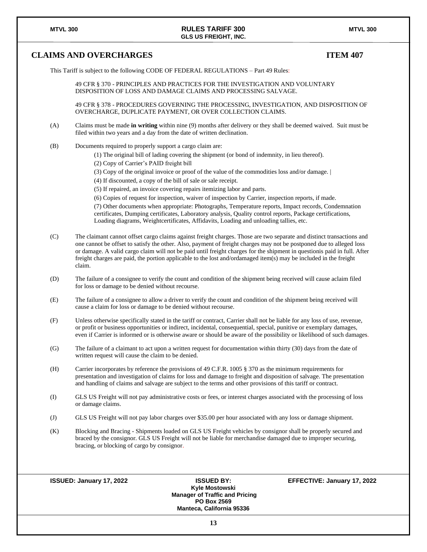### **CLAIMS AND OVERCHARGES ITEM 407**

This Tariff is subject to the following CODE OF FEDERAL REGULATIONS – Part 49 Rules:

49 CFR § 370 - PRINCIPLES AND PRACTICES FOR THE INVESTIGATION AND VOLUNTARY DISPOSITION OF LOSS AND DAMAGE CLAIMS AND PROCESSING SALVAGE.

49 CFR § 378 - PROCEDURES GOVERNING THE PROCESSING, INVESTIGATION, AND DISPOSITION OF OVERCHARGE, DUPLICATE PAYMENT, OR OVER COLLECTION CLAIMS.

- (A) Claims must be made **in writing** within nine (9) months after delivery or they shall be deemed waived. Suit must be filed within two years and a day from the date of written declination.
- (B) Documents required to properly support a cargo claim are:
	- (1) The original bill of lading covering the shipment (or bond of indemnity, in lieu thereof).
	- (2) Copy of Carrier's PAID freight bill
	- (3) Copy of the original invoice or proof of the value of the commodities loss and/or damage. |
	- (4) If discounted, a copy of the bill of sale or sale receipt.
	- (5) If repaired, an invoice covering repairs itemizing labor and parts.
	- (6) Copies of request for inspection, waiver of inspection by Carrier, inspection reports, if made.

(7) Other documents when appropriate: Photographs, Temperature reports, Impact records, Condemnation certificates, Dumping certificates, Laboratory analysis, Quality control reports, Package certifications, Loading diagrams, Weightcertificates, Affidavits, Loading and unloading tallies, etc.

- (C) The claimant cannot offset cargo claims against freight charges. Those are two separate and distinct transactions and one cannot be offset to satisfy the other. Also, payment of freight charges may not be postponed due to alleged loss or damage. A valid cargo claim will not be paid until freight charges for the shipment in questionis paid in full. After freight charges are paid, the portion applicable to the lost and/ordamaged item(s) may be included in the freight claim.
- (D) The failure of a consignee to verify the count and condition of the shipment being received will cause aclaim filed for loss or damage to be denied without recourse.
- (E) The failure of a consignee to allow a driver to verify the count and condition of the shipment being received will cause a claim for loss or damage to be denied without recourse.
- (F) Unless otherwise specifically stated in the tariff or contract, Carrier shall not be liable for any loss of use, revenue, or profit or business opportunities or indirect, incidental, consequential, special, punitive or exemplary damages, even if Carrier is informed or is otherwise aware or should be aware of the possibility or likelihood of such damages.
- (G) The failure of a claimant to act upon a written request for documentation within thirty (30) days from the date of written request will cause the claim to be denied.
- (H) Carrier incorporates by reference the provisions of 49 C.F.R. 1005 § 370 as the minimum requirements for presentation and investigation of claims for loss and damage to freight and disposition of salvage. The presentation and handling of claims and salvage are subject to the terms and other provisions of this tariff or contract.
- (I) GLS US Freight will not pay administrative costs or fees, or interest charges associated with the processing of loss or damage claims.
- (J) GLS US Freight will not pay labor charges over \$35.00 per hour associated with any loss or damage shipment.
- (K) Blocking and Bracing Shipments loaded on GLS US Freight vehicles by consignor shall be properly secured and braced by the consignor. GLS US Freight will not be liable for merchandise damaged due to improper securing, bracing, or blocking of cargo by consignor.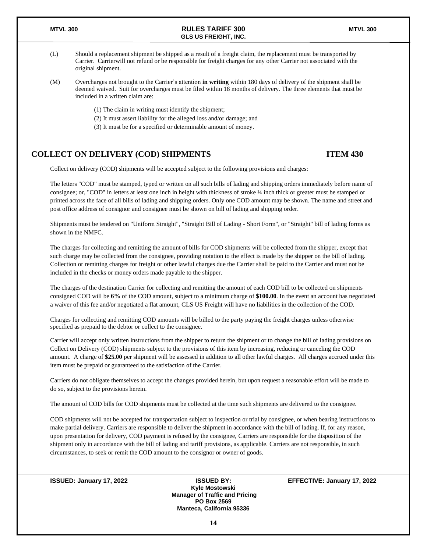- (L) Should a replacement shipment be shipped as a result of a freight claim, the replacement must be transported by Carrier. Carrierwill not refund or be responsible for freight charges for any other Carrier not associated with the original shipment.
- (M) Overcharges not brought to the Carrier's attention **in writing** within 180 days of delivery of the shipment shall be deemed waived. Suit for overcharges must be filed within 18 months of delivery. The three elements that must be included in a written claim are:
	- (1) The claim in writing must identify the shipment;
	- (2) It must assert liability for the alleged loss and/or damage; and
	- (3) It must be for a specified or determinable amount of money.

### **COLLECT ON DELIVERY (COD) SHIPMENTS ITEM 430**

Collect on delivery (COD) shipments will be accepted subject to the following provisions and charges:

The letters "COD" must be stamped, typed or written on all such bills of lading and shipping orders immediately before name of consignee; or, "COD" in letters at least one inch in height with thickness of stroke ¼ inch thick or greater must be stamped or printed across the face of all bills of lading and shipping orders. Only one COD amount may be shown. The name and street and post office address of consignor and consignee must be shown on bill of lading and shipping order.

Shipments must be tendered on "Uniform Straight", "Straight Bill of Lading - Short Form", or "Straight" bill of lading forms as shown in the NMFC.

The charges for collecting and remitting the amount of bills for COD shipments will be collected from the shipper, except that such charge may be collected from the consignee, providing notation to the effect is made by the shipper on the bill of lading. Collection or remitting charges for freight or other lawful charges due the Carrier shall be paid to the Carrier and must not be included in the checks or money orders made payable to the shipper.

The charges of the destination Carrier for collecting and remitting the amount of each COD bill to be collected on shipments consigned COD will be **6%** of the COD amount, subject to a minimum charge of **\$100.00**. In the event an account has negotiated a waiver of this fee and/or negotiated a flat amount, GLS US Freight will have no liabilities in the collection of the COD.

Charges for collecting and remitting COD amounts will be billed to the party paying the freight charges unless otherwise specified as prepaid to the debtor or collect to the consignee.

Carrier will accept only written instructions from the shipper to return the shipment or to change the bill of lading provisions on Collect on Delivery (COD) shipments subject to the provisions of this item by increasing, reducing or canceling the COD amount. A charge of **\$25.00** per shipment will be assessed in addition to all other lawful charges. All charges accrued under this item must be prepaid or guaranteed to the satisfaction of the Carrier.

Carriers do not obligate themselves to accept the changes provided herein, but upon request a reasonable effort will be made to do so, subject to the provisions herein.

The amount of COD bills for COD shipments must be collected at the time such shipments are delivered to the consignee.

COD shipments will not be accepted for transportation subject to inspection or trial by consignee, or when bearing instructions to make partial delivery. Carriers are responsible to deliver the shipment in accordance with the bill of lading. If, for any reason, upon presentation for delivery, COD payment is refused by the consignee, Carriers are responsible for the disposition of the shipment only in accordance with the bill of lading and tariff provisions, as applicable. Carriers are not responsible, in such circumstances, to seek or remit the COD amount to the consignor or owner of goods.

| ISSUED: January 17, 2022 | <b>ISSUED BY:</b>                     | EFFECTIVE: January 17, 2022 |
|--------------------------|---------------------------------------|-----------------------------|
|                          | Kyle Mostowski                        |                             |
|                          | <b>Manager of Traffic and Pricing</b> |                             |
|                          | <b>PO Box 2569</b>                    |                             |
|                          | <b>Manteca, California 95336</b>      |                             |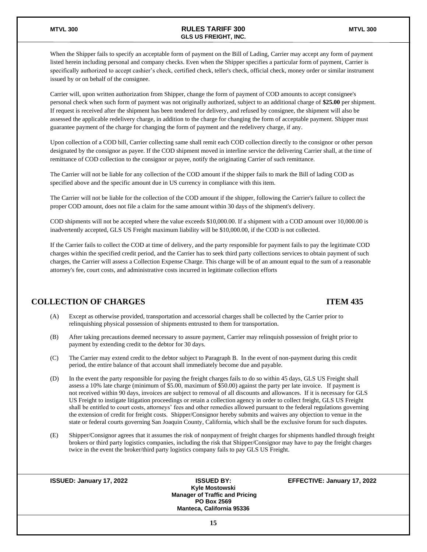When the Shipper fails to specify an acceptable form of payment on the Bill of Lading, Carrier may accept any form of payment listed herein including personal and company checks. Even when the Shipper specifies a particular form of payment, Carrier is specifically authorized to accept cashier's check, certified check, teller's check, official check, money order or similar instrument issued by or on behalf of the consignee.

Carrier will, upon written authorization from Shipper, change the form of payment of COD amounts to accept consignee's personal check when such form of payment was not originally authorized, subject to an additional charge of **\$25.00** per shipment. If request is received after the shipment has been tendered for delivery, and refused by consignee, the shipment will also be assessed the applicable redelivery charge, in addition to the charge for changing the form of acceptable payment. Shipper must guarantee payment of the charge for changing the form of payment and the redelivery charge, if any.

Upon collection of a COD bill, Carrier collecting same shall remit each COD collection directly to the consignor or other person designated by the consignor as payee. If the COD shipment moved in interline service the delivering Carrier shall, at the time of remittance of COD collection to the consignor or payee, notify the originating Carrier of such remittance.

The Carrier will not be liable for any collection of the COD amount if the shipper fails to mark the Bill of lading COD as specified above and the specific amount due in US currency in compliance with this item.

The Carrier will not be liable for the collection of the COD amount if the shipper, following the Carrier's failure to collect the proper COD amount, does not file a claim for the same amount within 30 days of the shipment's delivery.

COD shipments will not be accepted where the value exceeds \$10,000.00. If a shipment with a COD amount over 10,000.00 is inadvertently accepted, GLS US Freight maximum liability will be \$10,000.00, if the COD is not collected.

If the Carrier fails to collect the COD at time of delivery, and the party responsible for payment fails to pay the legitimate COD charges within the specified credit period, and the Carrier has to seek third party collections services to obtain payment of such charges, the Carrier will assess a Collection Expense Charge. This charge will be of an amount equal to the sum of a reasonable attorney's fee, court costs, and administrative costs incurred in legitimate collection efforts

#### **COLLECTION OF CHARGES ITEM 435**

- (A) Except as otherwise provided, transportation and accessorial charges shall be collected by the Carrier prior to relinquishing physical possession of shipments entrusted to them for transportation.
- (B) After taking precautions deemed necessary to assure payment, Carrier may relinquish possession of freight prior to payment by extending credit to the debtor for 30 days.
- (C) The Carrier may extend credit to the debtor subject to Paragraph B. In the event of non-payment during this credit period, the entire balance of that account shall immediately become due and payable.
- (D) In the event the party responsible for paying the freight charges fails to do so within 45 days, GLS US Freight shall assess a 10% late charge (minimum of \$5.00, maximum of \$50.00) against the party per late invoice. If payment is not received within 90 days, invoices are subject to removal of all discounts and allowances. If it is necessary for GLS US Freight to instigate litigation proceedings or retain a collection agency in order to collect freight, GLS US Freight shall be entitled to court costs, attorneys' fees and other remedies allowed pursuant to the federal regulations governing the extension of credit for freight costs. Shipper/Consignor hereby submits and waives any objection to venue in the state or federal courts governing San Joaquin County, California, which shall be the exclusive forum for such disputes.
- (E) Shipper/Consignor agrees that it assumes the risk of nonpayment of freight charges for shipments handled through freight brokers or third party logistics companies, including the risk that Shipper/Consignor may have to pay the freight charges twice in the event the broker/third party logistics company fails to pay GLS US Freight.

| <b>ISSUED: January 17, 2022</b> | <b>ISSUED BY:</b>                     | EFFECTIVE: January 17, 2022 |
|---------------------------------|---------------------------------------|-----------------------------|
|                                 | Kyle Mostowski                        |                             |
|                                 | <b>Manager of Traffic and Pricing</b> |                             |
|                                 | <b>PO Box 2569</b>                    |                             |
|                                 | <b>Manteca, California 95336</b>      |                             |
|                                 | 15                                    |                             |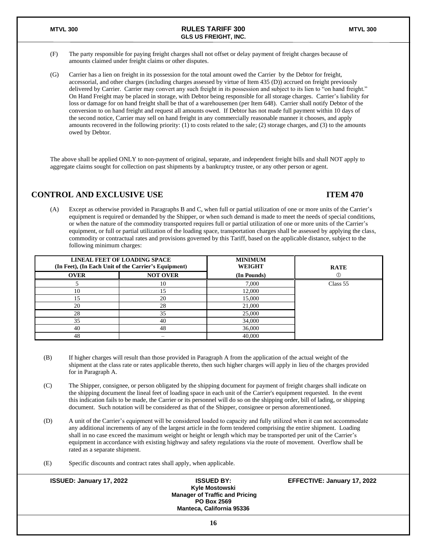- (F) The party responsible for paying freight charges shall not offset or delay payment of freight charges because of amounts claimed under freight claims or other disputes.
- (G) Carrier has a lien on freight in its possession for the total amount owed the Carrier by the Debtor for freight, accessorial, and other charges (including charges assessed by virtue of Item 435 (D)) accrued on freight previously delivered by Carrier. Carrier may convert any such freight in its possession and subject to its lien to "on hand freight." On Hand Freight may be placed in storage, with Debtor being responsible for all storage charges. Carrier's liability for loss or damage for on hand freight shall be that of a warehousemen (per Item 648). Carrier shall notify Debtor of the conversion to on hand freight and request all amounts owed. If Debtor has not made full payment within 10 days of the second notice, Carrier may sell on hand freight in any commercially reasonable manner it chooses, and apply amounts recovered in the following priority: (1) to costs related to the sale; (2) storage charges, and (3) to the amounts owed by Debtor.

The above shall be applied ONLY to non-payment of original, separate, and independent freight bills and shall NOT apply to aggregate claims sought for collection on past shipments by a bankruptcy trustee, or any other person or agent.

### **CONTROL AND EXCLUSIVE USE ITEM 470**

(A) Except as otherwise provided in Paragraphs B and C, when full or partial utilization of one or more units of the Carrier's equipment is required or demanded by the Shipper, or when such demand is made to meet the needs of special conditions, or when the nature of the commodity transported requires full or partial utilization of one or more units of the Carrier's equipment, or full or partial utilization of the loading space, transportation charges shall be assessed by applying the class, commodity or contractual rates and provisions governed by this Tariff, based on the applicable distance, subject to the following minimum charges:

|             | LINEAL FEET OF LOADING SPACE<br>(In Feet), (In Each Unit of the Carrier's Equipment) | <b>MINIMUM</b><br><b>WEIGHT</b> | <b>RATE</b> |
|-------------|--------------------------------------------------------------------------------------|---------------------------------|-------------|
| <b>OVER</b> | <b>NOT OVER</b>                                                                      | (In Pounds)                     |             |
|             | 10                                                                                   | 7,000                           | Class 55    |
| 10          | ۱5                                                                                   | 12,000                          |             |
| 15          | 20                                                                                   | 15,000                          |             |
| 20          | 28                                                                                   | 21,000                          |             |
| 28          | 35                                                                                   | 25,000                          |             |
| 35          | 40                                                                                   | 34,000                          |             |
| 40          | 48                                                                                   | 36,000                          |             |
| 48          |                                                                                      | 40,000                          |             |

- (B) If higher charges will result than those provided in Paragraph A from the application of the actual weight of the shipment at the class rate or rates applicable thereto, then such higher charges will apply in lieu of the charges provided for in Paragraph A.
- (C) The Shipper, consignee, or person obligated by the shipping document for payment of freight charges shall indicate on the shipping document the lineal feet of loading space in each unit of the Carrier's equipment requested. In the event this indication fails to be made, the Carrier or its personnel will do so on the shipping order, bill of lading, or shipping document. Such notation will be considered as that of the Shipper, consignee or person aforementioned.
- (D) A unit of the Carrier's equipment will be considered loaded to capacity and fully utilized when it can not accommodate any additional increments of any of the largest article in the form tendered comprising the entire shipment. Loading shall in no case exceed the maximum weight or height or length which may be transported per unit of the Carrier's equipment in accordance with existing highway and safety regulations via the route of movement. Overflow shall be rated as a separate shipment.
- (E) Specific discounts and contract rates shall apply, when applicable.

| <b>ISSUED: January 17, 2022</b> | <b>ISSUED BY:</b>                     | <b>EFFECTIVE: January 17, 2022</b> |
|---------------------------------|---------------------------------------|------------------------------------|
|                                 | Kyle Mostowski                        |                                    |
|                                 | <b>Manager of Traffic and Pricing</b> |                                    |
|                                 | <b>PO Box 2569</b>                    |                                    |
|                                 | Manteca. California 95336             |                                    |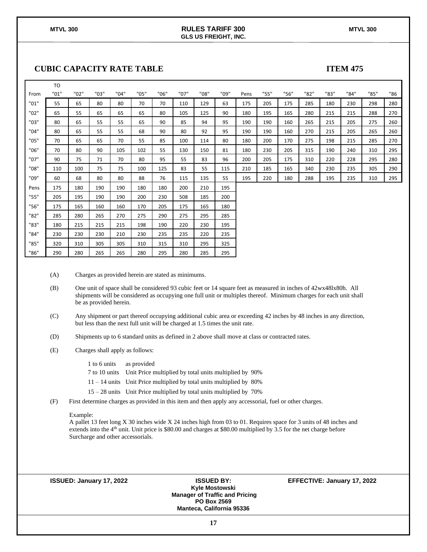### **CUBIC CAPACITY RATE TABLE ITEM 475**

|      | T <sub>O</sub> |      |      |      |      |      |      |      |      |      |      |      |      |      |      |      |     |
|------|----------------|------|------|------|------|------|------|------|------|------|------|------|------|------|------|------|-----|
| From | "01"           | "02" | "03" | "04" | "05" | "06" | "07" | "08" | "09" | Pens | "55" | "56" | "82" | "83" | "84" | "85" | "86 |
| "01" | 55             | 65   | 80   | 80   | 70   | 70   | 110  | 129  | 63   | 175  | 205  | 175  | 285  | 180  | 230  | 298  | 280 |
| "02" | 65             | 55   | 65   | 65   | 65   | 80   | 105  | 125  | 90   | 180  | 195  | 165  | 280  | 215  | 215  | 288  | 270 |
| "03" | 80             | 65   | 55   | 55   | 65   | 90   | 85   | 94   | 95   | 190  | 190  | 160  | 265  | 215  | 205  | 275  | 260 |
| "04" | 80             | 65   | 55   | 55   | 68   | 90   | 80   | 92   | 95   | 190  | 190  | 160  | 270  | 215  | 205  | 265  | 260 |
| "05" | 70             | 65   | 65   | 70   | 55   | 85   | 100  | 114  | 80   | 180  | 200  | 170  | 275  | 198  | 215  | 285  | 270 |
| "06" | 70             | 80   | 90   | 105  | 102  | 55   | 130  | 150  | 81   | 180  | 230  | 205  | 315  | 190  | 240  | 310  | 295 |
| "07" | 90             | 75   | 71   | 70   | 80   | 95   | 55   | 83   | 96   | 200  | 205  | 175  | 310  | 220  | 228  | 295  | 280 |
| "08" | 110            | 100  | 75   | 75   | 100  | 125  | 83   | 55   | 115  | 210  | 185  | 165  | 340  | 230  | 235  | 305  | 290 |
| "09" | 60             | 68   | 80   | 80   | 88   | 76   | 115  | 135  | 55   | 195  | 220  | 180  | 288  | 195  | 235  | 310  | 295 |
| Pens | 175            | 180  | 190  | 190  | 180  | 180  | 200  | 210  | 195  |      |      |      |      |      |      |      |     |
| "55" | 205            | 195  | 190  | 190  | 200  | 230  | 508  | 185  | 200  |      |      |      |      |      |      |      |     |
| "56" | 175            | 165  | 160  | 160  | 170  | 205  | 175  | 165  | 180  |      |      |      |      |      |      |      |     |
| "82" | 285            | 280  | 265  | 270  | 275  | 290  | 275  | 295  | 285  |      |      |      |      |      |      |      |     |
| "83" | 180            | 215  | 215  | 215  | 198  | 190  | 220  | 230  | 195  |      |      |      |      |      |      |      |     |
| "84" | 230            | 230  | 230  | 210  | 230  | 235  | 235  | 220  | 235  |      |      |      |      |      |      |      |     |
| "85" | 320            | 310  | 305  | 305  | 310  | 315  | 310  | 295  | 325  |      |      |      |      |      |      |      |     |
| "86" | 290            | 280  | 265  | 265  | 280  | 295  | 280  | 285  | 295  |      |      |      |      |      |      |      |     |

(A) Charges as provided herein are stated as minimums.

- (B) One unit of space shall be considered 93 cubic feet or 14 square feet as measured in inches of 42wx48lx80h. All shipments will be considered as occupying one full unit or multiples thereof. Minimum charges for each unit shall be as provided herein.
- (C) Any shipment or part thereof occupying additional cubic area or exceeding 42 inches by 48 inches in any direction, but less than the next full unit will be charged at 1.5 times the unit rate.
- (D) Shipments up to 6 standard units as defined in 2 above shall move at class or contracted rates.
- (E) Charges shall apply as follows:

1 to 6 units as provided

7 to 10 units Unit Price multiplied by total units multiplied by 90%

11 – 14 units Unit Price multiplied by total units multiplied by 80%

15 – 28 units Unit Price multiplied by total units multiplied by 70%

(F) First determine charges as provided in this item and then apply any accessorial, fuel or other charges.

#### Example:

A pallet 13 feet long X 30 inches wide X 24 inches high from 03 to 01. Requires space for 3 units of 48 inches and extends into the 4<sup>th</sup> unit. Unit price is \$80.00 and charges at \$80.00 multiplied by 3.5 for the net charge before Surcharge and other accessorials.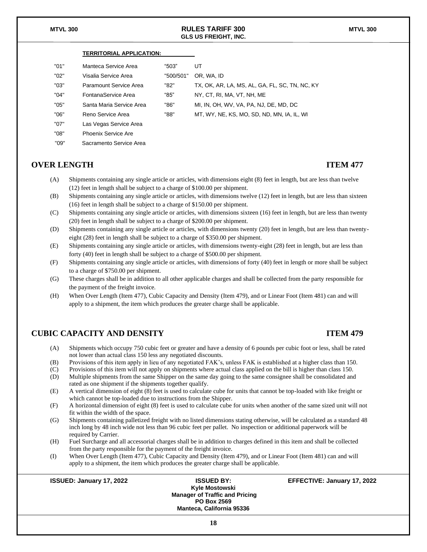#### **TERRITORIAL APPLICATION:**

| "በ1" | Manteca Service Area     | "503"     | UΤ                                             |
|------|--------------------------|-----------|------------------------------------------------|
| "በ2" | Visalia Service Area     | "500/501" | OR. WA. ID                                     |
| "03" | Paramount Service Area   | "82"      | TX, OK, AR, LA, MS, AL, GA, FL, SC, TN, NC, KY |
| "በ4" | FontanaService Area      | "85"      | NY, CT, RI, MA, VT, NH. ME                     |
| "05" | Santa Maria Service Area | "86"      | MI. IN. OH. WV. VA. PA. NJ. DE. MD. DC         |
| "06" | Reno Service Area        | "88"      | MT, WY, NE, KS, MO, SD, ND, MN, IA, IL, WI     |
| "07" | Las Vegas Service Area   |           |                                                |

#### **OVER LENGTH ITEM 477**

"08" Phoenix Service Are "09" Sacramento Service Area

- (A) Shipments containing any single article or articles, with dimensions eight (8) feet in length, but are less than twelve (12) feet in length shall be subject to a charge of \$100.00 per shipment.
- (B) Shipments containing any single article or articles, with dimensions twelve (12) feet in length, but are less than sixteen (16) feet in length shall be subject to a charge of \$150.00 per shipment.
- (C) Shipments containing any single article or articles, with dimensions sixteen (16) feet in length, but are less than twenty (20) feet in length shall be subject to a charge of \$200.00 per shipment.
- (D) Shipments containing any single article or articles, with dimensions twenty (20) feet in length, but are less than twentyeight (28) feet in length shall be subject to a charge of \$350.00 per shipment.
- (E) Shipments containing any single article or articles, with dimensions twenty-eight (28) feet in length, but are less than forty (40) feet in length shall be subject to a charge of \$500.00 per shipment.
- (F) Shipments containing any single article or articles, with dimensions of forty (40) feet in length or more shall be subject to a charge of \$750.00 per shipment.
- (G) These charges shall be in addition to all other applicable charges and shall be collected from the party responsible for the payment of the freight invoice.
- (H) When Over Length (Item 477), Cubic Capacity and Density (Item 479), and or Linear Foot (Item 481) can and will apply to a shipment, the item which produces the greater charge shall be applicable.

### **CUBIC CAPACITY AND DENSITY ITEM 479**

- (A) Shipments which occupy 750 cubic feet or greater and have a density of 6 pounds per cubic foot or less, shall be rated not lower than actual class 150 less any negotiated discounts.
- (B) Provisions of this item apply in lieu of any negotiated FAK's, unless FAK is established at a higher class than 150.
- (C) Provisions of this item will not apply on shipments where actual class applied on the bill is higher than class 150.
- (D) Multiple shipments from the same Shipper on the same day going to the same consignee shall be consolidated and rated as one shipment if the shipments together qualify.
- (E) A vertical dimension of eight (8) feet is used to calculate cube for units that cannot be top-loaded with like freight or which cannot be top-loaded due to instructions from the Shipper.
- (F) A horizontal dimension of eight (8) feet is used to calculate cube for units when another of the same sized unit will not fit within the width of the space.
- (G) Shipments containing palletized freight with no listed dimensions stating otherwise, will be calculated as a standard 48 inch long by 48 inch wide not less than 96 cubic feet per pallet. No inspection or additional paperwork will be required by Carrier.
- (H) Fuel Surcharge and all accessorial charges shall be in addition to charges defined in this item and shall be collected from the party responsible for the payment of the freight invoice.
- (I) When Over Length (Item 477), Cubic Capacity and Density (Item 479), and or Linear Foot (Item 481) can and will apply to a shipment, the item which produces the greater charge shall be applicable.

| ISSUED: January 17, 2022 | <b>ISSUED BY:</b><br>Kyle Mostowski<br><b>Manager of Traffic and Pricing</b><br><b>PO Box 2569</b><br><b>Manteca, California 95336</b> | EFFECTIVE: January 17, 2022 |
|--------------------------|----------------------------------------------------------------------------------------------------------------------------------------|-----------------------------|
|                          |                                                                                                                                        |                             |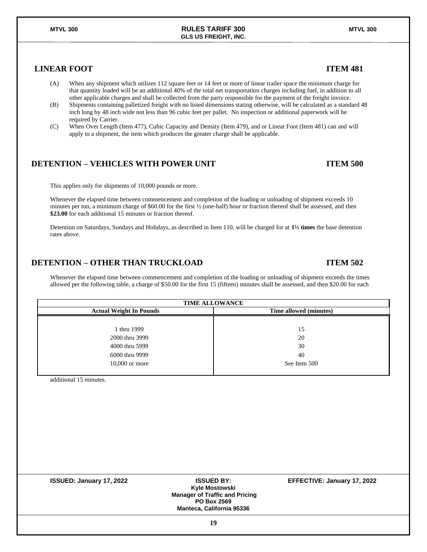### **LINEAR FOOT ITEM 481**

- (A) When any shipment which utilizes 112 square feet or 14 feet or more of linear trailer space the minimum charge for that quantity loaded will be an additional 40% of the total net transportation charges including fuel, in addition to all other applicable charges and shall be collected from the party responsible for the payment of the freight invoice.
- (B) Shipments containing palletized freight with no listed dimensions stating otherwise, will be calculated as a standard 48 inch long by 48 inch wide not less than 96 cubic feet per pallet. No inspection or additional paperwork will be required by Carrier.
- (C) When Over Length (Item 477), Cubic Capacity and Density (Item 479), and or Linear Foot (Item 481) can and will apply to a shipment, the item which produces the greater charge shall be applicable.

#### **DETENTION – VEHICLES WITH POWER UNIT ITEM 500**

This applies only for shipments of 10,000 pounds or more.

Whenever the elapsed time between commencement and completion of the loading or unloading of shipment exceeds 10 minutes per ton, a minimum charge of \$60.00 for the first ½ (one-half) hour or fraction thereof shall be assessed, and then **\$23.00** for each additional 15 minutes or fraction thereof.

Detention on Saturdays, Sundays and Holidays, as described in Item 110, will be charged for at **1½ times** the base detention rates above.

### **DETENTION – OTHER THAN TRUCKLOAD ITEM 502**

Whenever the elapsed time between commencement and completion of the loading or unloading of shipment exceeds the times allowed per the following table, a charge of \$50.00 for the first 15 (fifteen) minutes shall be assessed, and then \$20.00 for each

| <b>TIME ALLOWANCE</b>          |                        |  |  |  |  |  |  |
|--------------------------------|------------------------|--|--|--|--|--|--|
| <b>Actual Weight In Pounds</b> | Time allowed (minutes) |  |  |  |  |  |  |
|                                |                        |  |  |  |  |  |  |
| 1 thru 1999                    | 15                     |  |  |  |  |  |  |
| 2000 thru 3999                 | 20                     |  |  |  |  |  |  |
| 4000 thru 5999                 | 30                     |  |  |  |  |  |  |
| 6000 thru 9999                 | 40                     |  |  |  |  |  |  |
| $10,000$ or more               | See Item 500           |  |  |  |  |  |  |
|                                |                        |  |  |  |  |  |  |

additional 15 minutes.

| <b>ISSUED: January 17, 2022</b> | <b>ISSUED BY:</b>                     | EFFECTIVE: January 17, 2022 |
|---------------------------------|---------------------------------------|-----------------------------|
|                                 | Kyle Mostowski                        |                             |
|                                 | <b>Manager of Traffic and Pricing</b> |                             |
|                                 | <b>PO Box 2569</b>                    |                             |
|                                 | <b>Manteca, California 95336</b>      |                             |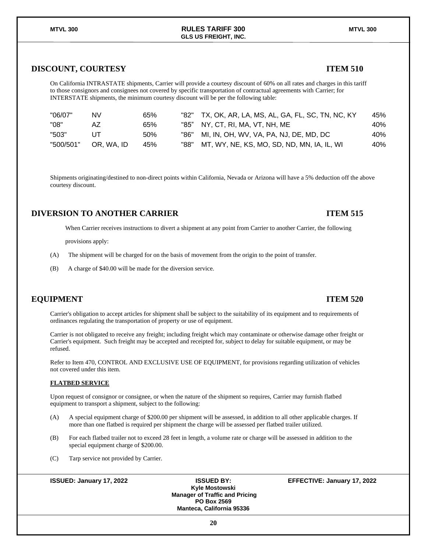### **DISCOUNT, COURTESY ITEM 510**

On California INTRASTATE shipments, Carrier will provide a courtesy discount of 60% on all rates and charges in this tariff to those consignors and consignees not covered by specific transportation of contractual agreements with Carrier; for INTERSTATE shipments, the minimum courtesy discount will be per the following table:

| "06/07"   | NV         | 65% |      | "82" TX, OK, AR, LA, MS, AL, GA, FL, SC, TN, NC, KY | 45% |
|-----------|------------|-----|------|-----------------------------------------------------|-----|
| "08"      | AZ         | 65% |      | "85" NY. CT. RI. MA. VT. NH. ME                     | 40% |
| "503"     |            | 50% |      | "86" MI, IN, OH, WV, VA, PA, NJ, DE, MD, DC         | 40% |
| "500/501" | OR. WA. ID | 45% | "88" | MT, WY, NE, KS, MO, SD, ND, MN, IA, IL, WI          | 40% |

Shipments originating/destined to non-direct points within California, Nevada or Arizona will have a 5% deduction off the above courtesy discount.

### **DIVERSION TO ANOTHER CARRIER ITEM 515**

When Carrier receives instructions to divert a shipment at any point from Carrier to another Carrier, the following

provisions apply:

- (A) The shipment will be charged for on the basis of movement from the origin to the point of transfer.
- (B) A charge of \$40.00 will be made for the diversion service.

### **EQUIPMENT ITEM 520**

Carrier's obligation to accept articles for shipment shall be subject to the suitability of its equipment and to requirements of ordinances regulating the transportation of property or use of equipment.

Carrier is not obligated to receive any freight; including freight which may contaminate or otherwise damage other freight or Carrier's equipment. Such freight may be accepted and receipted for, subject to delay for suitable equipment, or may be refused.

Refer to Item 470, CONTROL AND EXCLUSIVE USE OF EQUIPMENT, for provisions regarding utilization of vehicles not covered under this item.

#### **FLATBED SERVICE**

Upon request of consignor or consignee, or when the nature of the shipment so requires, Carrier may furnish flatbed equipment to transport a shipment, subject to the following:

- (A) A special equipment charge of \$200.00 per shipment will be assessed, in addition to all other applicable charges. If more than one flatbed is required per shipment the charge will be assessed per flatbed trailer utilized.
- (B) For each flatbed trailer not to exceed 28 feet in length, a volume rate or charge will be assessed in addition to the special equipment charge of \$200.00.
- (C) Tarp service not provided by Carrier.

**ISSUED: January 17, 2022 ISSUED BY: EFFECTIVE: January 17, 2022**

**Kyle Mostowski Manager of Traffic and Pricing PO Box 2569 Manteca, California 95336**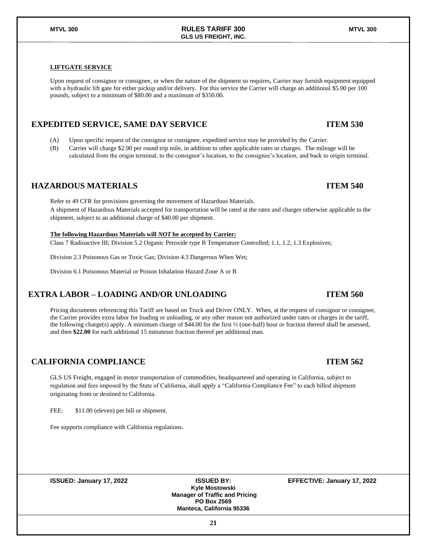#### **LIFTGATE SERVICE**

Upon request of consignor or consignee, or when the nature of the shipment so requires, Carrier may furnish equipment equipped with a hydraulic lift gate for either pickup and/or delivery. For this service the Carrier will charge an additional \$5.00 per 100 pounds, subject to a minimum of \$80.00 and a maximum of \$350.00.

**GLS US FREIGHT, INC.**

### **EXPEDITED SERVICE, SAME DAY SERVICE ITEM 530**

- (A) Upon specific request of the consignor or consignee, expedited service may be provided by the Carrier.
- (B) Carrier will charge \$2.90 per round trip mile, in addition to other applicable rates or charges. The mileage will be calculated from the origin terminal, to the consignor's location, to the consignee's location, and back to origin terminal.

### **HAZARDOUS MATERIALS ITEM 540**

Refer to 49 CFR for provisions governing the movement of Hazardous Materials. A shipment of Hazardous Materials accepted for transportation will be rated at the rates and charges otherwise applicable to the shipment, subject to an additional charge of \$40.00 per shipment.

#### **The following Hazardous Materials will** *NOT* **be accepted by Carrier:**

Class 7 Radioactive III; Division 5.2 Organic Peroxide type B Temperature Controlled; 1.1, 1.2, 1.3 Explosives;

Division 2.3 Poisonous Gas or Toxic Gas; Division 4.3 Dangerous When Wet;

Division 6.1 Poisonous Material or Poison Inhalation Hazard Zone A or B

### **EXTRA LABOR – LOADING AND/OR UNLOADING ITEM 560**

Pricing documents referencing this Tariff are based on Truck and Driver ONLY. When, at the request of consignor or consignee, the Carrier provides extra labor for loading or unloading, or any other reason not authorized under rates or charges in the tariff, the following charge(s) apply. A minimum charge of \$44.00 for the first ½ (one-half) hour or fraction thereof shall be assessed, and then **\$22.00** for each additional 15 minutesor fraction thereof per additional man.

### **CALIFORNIA COMPLIANCE ITEM 562**

GLS US Freight, engaged in motor transportation of commodities, headquartered and operating in California, subject to regulation and fees imposed by the State of California, shall apply a "California Compliance Fee" to each billed shipment originating from or destined to California.

FEE:  $$11.00$  (eleven) per bill or shipment.

Fee supports compliance with California regulations.

**ISSUED: January 17, 2022 ISSUED BY: EFFECTIVE: January 17, 2022**

**Kyle Mostowski Manager of Traffic and Pricing PO Box 2569 Manteca, California 95336**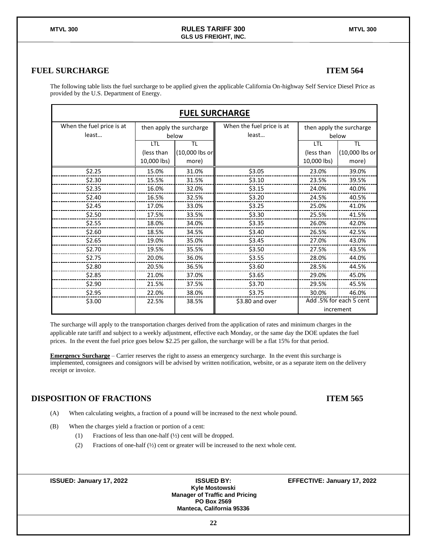### **FUEL SURCHARGE ITEM 564**

| The following table lists the fuel surcharge to be applied given the applicable California On-highway Self Service Diesel Price as |  |
|------------------------------------------------------------------------------------------------------------------------------------|--|
| provided by the U.S. Department of Energy.                                                                                         |  |

| <b>FUEL SURCHARGE</b>              |                                  |                                   |                                    |                                  |                                      |  |  |  |  |  |  |
|------------------------------------|----------------------------------|-----------------------------------|------------------------------------|----------------------------------|--------------------------------------|--|--|--|--|--|--|
| When the fuel price is at<br>least |                                  | then apply the surcharge<br>below | When the fuel price is at<br>least |                                  | then apply the surcharge<br>below    |  |  |  |  |  |  |
|                                    | LTL<br>(less than<br>10,000 lbs) | TL<br>(10,000 lbs or<br>more)     |                                    | LTL<br>(less than<br>10,000 lbs) | <b>TL</b><br>(10,000 lbs or<br>more) |  |  |  |  |  |  |
| \$2.25                             | 15.0%                            | 31.0%                             | \$3.05                             | 23.0%                            | 39.0%                                |  |  |  |  |  |  |
| \$2.30                             | 15.5%                            | 31.5%                             | \$3.10                             | 23.5%                            | 39.5%                                |  |  |  |  |  |  |
| \$2.35                             | 16.0%                            | 32.0%                             | \$3.15                             | 24.0%                            | 40.0%                                |  |  |  |  |  |  |
| \$2.40                             | 16.5%                            | 32.5%                             | \$3.20                             | 24.5%                            | 40.5%                                |  |  |  |  |  |  |
| \$2.45                             | 17.0%                            | 33.0%                             | \$3.25                             | 25.0%                            | 41.0%                                |  |  |  |  |  |  |
| \$2.50                             | 17.5%                            | 33.5%                             | \$3.30                             | 25.5%                            | 41.5%                                |  |  |  |  |  |  |
| \$2.55                             | 18.0%                            | 34.0%                             | \$3.35                             | 26.0%                            | 42.0%                                |  |  |  |  |  |  |
| \$2.60                             | 18.5%                            | 34.5%                             | \$3.40                             | 26.5%                            | 42.5%                                |  |  |  |  |  |  |
| \$2.65                             | 19.0%                            | 35.0%                             | \$3.45                             | 27.0%                            | 43.0%                                |  |  |  |  |  |  |
| \$2.70                             | 19.5%                            | 35.5%                             | \$3.50                             | 27.5%                            | 43.5%                                |  |  |  |  |  |  |
| \$2.75                             | 20.0%                            | 36.0%                             | \$3.55                             | 28.0%                            | 44.0%                                |  |  |  |  |  |  |
| \$2.80                             | 20.5%                            | 36.5%                             | \$3.60                             | 28.5%                            | 44.5%                                |  |  |  |  |  |  |
| \$2.85                             | 21.0%                            | 37.0%                             | \$3.65                             | 29.0%                            | 45.0%                                |  |  |  |  |  |  |
| \$2.90                             | 21.5%                            | 37.5%                             | \$3.70                             | 29.5%                            | 45.5%                                |  |  |  |  |  |  |
| \$2.95                             | 22.0%                            | 38.0%                             | \$3.75                             | 30.0%                            | 46.0%                                |  |  |  |  |  |  |
| \$3.00                             | 22.5%                            | 38.5%                             | \$3.80 and over                    |                                  | Add .5% for each 5 cent              |  |  |  |  |  |  |
|                                    |                                  |                                   |                                    |                                  | increment                            |  |  |  |  |  |  |

The surcharge will apply to the transportation charges derived from the application of rates and minimum charges in the applicable rate tariff and subject to a weekly adjustment, effective each Monday, or the same day the DOE updates the fuel prices. In the event the fuel price goes below \$2.25 per gallon, the surcharge will be a flat 15% for that period.

**Emergency Surcharge** – Carrier reserves the right to assess an emergency surcharge. In the event this surcharge is implemented, consignees and consignors will be advised by written notification, website, or as a separate item on the delivery receipt or invoice.

### **DISPOSITION OF FRACTIONS ITEM 565**

- (A) When calculating weights, a fraction of a pound will be increased to the next whole pound.
- (B) When the charges yield a fraction or portion of a cent:
	- (1) Fractions of less than one-half (½) cent will be dropped.
	- (2) Fractions of one-half (½) cent or greater will be increased to the next whole cent.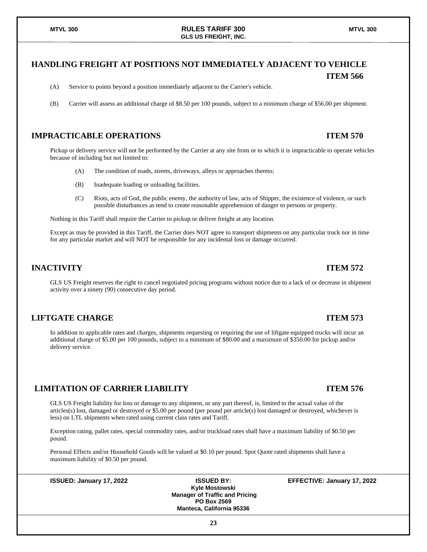### **HANDLING FREIGHT AT POSITIONS NOT IMMEDIATELY ADJACENT TO VEHICLE ITEM 566**

- (A) Service to points beyond a position immediately adjacent to the Carrier's vehicle.
- (B) Carrier will assess an additional charge of \$8.50 per 100 pounds, subject to a minimum charge of \$56.00 per shipment.

### **IMPRACTICABLE OPERATIONS ITEM 570**

Pickup or delivery service will not be performed by the Carrier at any site from or to which it is impracticable to operate vehicles because of including but not limited to:

- (A) The condition of roads, streets, driveways, alleys or approaches thereto;
- (B) Inadequate loading or unloading facilities.
- (C) Riots, acts of God, the public enemy, the authority of law, acts of Shipper, the existence of violence, or such possible disturbances as tend to create reasonable apprehension of danger to persons or property.

Nothing in this Tariff shall require the Carrier to pickup or deliver freight at any location.

Except as may be provided in this Tariff, the Carrier does NOT agree to transport shipments on any particular truck nor in time for any particular market and will NOT be responsible for any incidental loss or damage occurred.

#### **INACTIVITY ITEM 572**

GLS US Freight reserves the right to cancel negotiated pricing programs without notice due to a lack of or decrease in shipment activity over a ninety (90) consecutive day period.

#### **LIFTGATE CHARGE ITEM 573**

In addition to applicable rates and charges, shipments requesting or requiring the use of liftgate equipped trucks will incur an additional charge of \$5.00 per 100 pounds, subject to a minimum of \$80.00 and a maximum of \$350.00 for pickup and/or delivery service.

#### **LIMITATION OF CARRIER LIABILITY ITEM 576**

GLS US Freight liability for loss or damage to any shipment, or any part thereof, is, limited to the actual value of the articles(s) lost, damaged or destroyed or \$5.00 per pound (per pound per article(s) lost damaged or destroyed, whichever is less) on LTL shipments when rated using current class rates and Tariff.

Exception rating, pallet rates, special commodity rates, and/or truckload rates shall have a maximum liability of \$0.50 per pound.

Personal Effects and/or Household Goods will be valued at \$0.10 per pound. Spot Quote rated shipments shall have a maximum liability of \$0.50 per pound.

**Kyle Mostowski Manager of Traffic and Pricing PO Box 2569 Manteca, California 95336**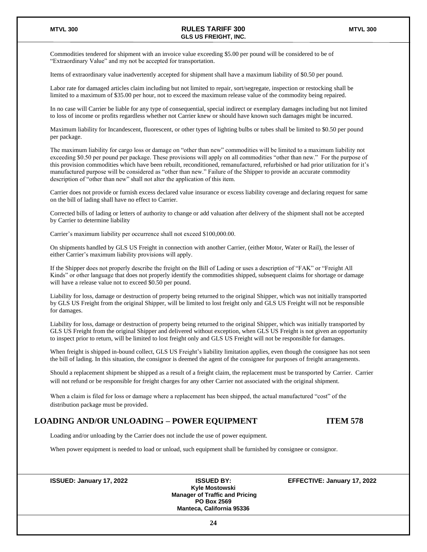Commodities tendered for shipment with an invoice value exceeding \$5.00 per pound will be considered to be of "Extraordinary Value" and my not be accepted for transportation.

Items of extraordinary value inadvertently accepted for shipment shall have a maximum liability of \$0.50 per pound.

Labor rate for damaged articles claim including but not limited to repair, sort/segregate, inspection or restocking shall be limited to a maximum of \$35.00 per hour, not to exceed the maximum release value of the commodity being repaired.

In no case will Carrier be liable for any type of consequential, special indirect or exemplary damages including but not limited to loss of income or profits regardless whether not Carrier knew or should have known such damages might be incurred.

Maximum liability for Incandescent, fluorescent, or other types of lighting bulbs or tubes shall be limited to \$0.50 per pound per package.

The maximum liability for cargo loss or damage on "other than new" commodities will be limited to a maximum liability not exceeding \$0.50 per pound per package. These provisions will apply on all commodities "other than new." For the purpose of this provision commodities which have been rebuilt, reconditioned, remanufactured, refurbished or had prior utilization for it's manufactured purpose will be considered as "other than new." Failure of the Shipper to provide an accurate commodity description of "other than new" shall not alter the application of this item.

Carrier does not provide or furnish excess declared value insurance or excess liability coverage and declaring request for same on the bill of lading shall have no effect to Carrier.

Corrected bills of lading or letters of authority to change or add valuation after delivery of the shipment shall not be accepted by Carrier to determine liability

Carrier's maximum liability per occurrence shall not exceed \$100,000.00.

On shipments handled by GLS US Freight in connection with another Carrier, (either Motor, Water or Rail), the lesser of either Carrier's maximum liability provisions will apply.

If the Shipper does not properly describe the freight on the Bill of Lading or uses a description of "FAK" or "Freight All Kinds" or other language that does not properly identify the commodities shipped, subsequent claims for shortage or damage will have a release value not to exceed \$0.50 per pound.

Liability for loss, damage or destruction of property being returned to the original Shipper, which was not initially transported by GLS US Freight from the original Shipper, will be limited to lost freight only and GLS US Freight will not be responsible for damages.

Liability for loss, damage or destruction of property being returned to the original Shipper, which was initially transported by GLS US Freight from the original Shipper and delivered without exception, when GLS US Freight is not given an opportunity to inspect prior to return, will be limited to lost freight only and GLS US Freight will not be responsible for damages.

When freight is shipped in-bound collect, GLS US Freight's liability limitation applies, even though the consignee has not seen the bill of lading. In this situation, the consignor is deemed the agent of the consignee for purposes of freight arrangements.

Should a replacement shipment be shipped as a result of a freight claim, the replacement must be transported by Carrier. Carrier will not refund or be responsible for freight charges for any other Carrier not associated with the original shipment.

When a claim is filed for loss or damage where a replacement has been shipped, the actual manufactured "cost" of the distribution package must be provided.

#### **LOADING AND/OR UNLOADING – POWER EQUIPMENT ITEM 578**

Loading and/or unloading by the Carrier does not include the use of power equipment.

When power equipment is needed to load or unload, such equipment shall be furnished by consignee or consignor.

**ISSUED: January 17, 2022 ISSUED BY: EFFECTIVE: January 17, 2022**

**Kyle Mostowski Manager of Traffic and Pricing PO Box 2569 Manteca, California 95336**

**24**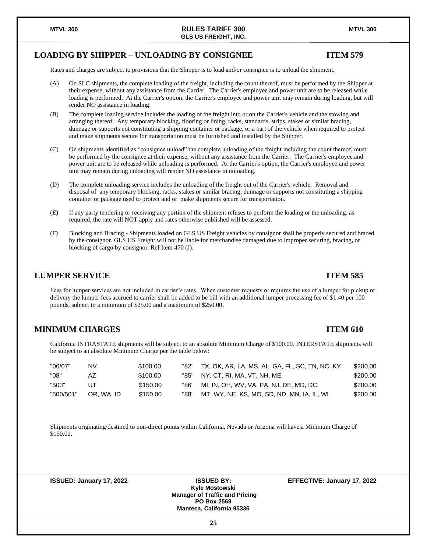#### **LOADING BY SHIPPER – UNLOADING BY CONSIGNEE ITEM 579**

Rates and charges are subject to provisions that the Shipper is to load and/or consignee is to unload the shipment.

- (A) On SLC shipments, the complete loading of the freight, including the count thereof, must be performed by the Shipper at their expense, without any assistance from the Carrier. The Carrier's employee and power unit are to be released while loading is performed. At the Carrier's option, the Carrier's employee and power unit may remain during loading, but will render NO assistance in loading.
- (B) The complete loading service includes the loading of the freight into or on the Carrier's vehicle and the stowing and arranging thereof. Any temporary blocking, flooring or lining, racks, standards, strips, stakes or similar bracing, dunnage or supports not constituting a shipping container or package, or a part of the vehicle when required to protect and make shipments secure for transportation must be furnished and installed by the Shipper.
- (C) On shipments identified as "consignee unload" the complete unloading of the freight including the count thereof, must be performed by the consignee at their expense, without any assistance from the Carrier. The Carrier's employee and power unit are to be released while unloading is performed. At the Carrier's option, the Carrier's employee and power unit may remain during unloading will render NO assistance in unloading.
- (D) The complete unloading service includes the unloading of the freight out of the Carrier's vehicle. Removal and disposal of any temporary blocking, racks, stakes or similar bracing, dunnage or supports not constituting a shipping container or package used to protect and or make shipments secure for transportation.
- (E) If any party tendering or receiving any portion of the shipment refuses to perform the loading or the unloading, as required, the rate will NOT apply and rates otherwise published will be assessed.
- (F) Blocking and Bracing Shipments loaded on GLS US Freight vehicles by consignor shall be properly secured and braced by the consignor. GLS US Freight will not be liable for merchandise damaged due to improper securing, bracing, or blocking of cargo by consignor. Ref Item 470 (J).

### **LUMPER SERVICE ITEM 585**

Fees for lumper services are not included in carrier's rates. When customer requests or requires the use of a lumper for pickup or delivery the lumper fees accrued to carrier shall be added to be bill with an additional lumper processing fee of \$1.40 per 100 pounds, subject to a minimum of \$25.00 and a maximum of \$250.00.

### **MINIMUM CHARGES ITEM 610**

California INTRASTATE shipments will be subject to an absolute Minimum Charge of \$100.00. INTERSTATE shipments will be subject to an absolute Minimum Charge per the table below:

| "06/07"   | NV         | \$100.00 | "82" | TX, OK, AR, LA, MS, AL, GA, FL, SC, TN, NC, KY | \$200.00 |
|-----------|------------|----------|------|------------------------------------------------|----------|
| "08"      | AZ         | \$100.00 | "85" | NY. CT. RI. MA. VT. NH. ME                     | \$200.00 |
| "503"     | JT         | \$150.00 | "86" | MI, IN, OH, WV, VA, PA, NJ, DE, MD, DC         | \$200.00 |
| "500/501" | OR. WA. ID | \$150.00 | "88" | MT, WY, NE, KS, MO, SD, ND, MN, IA, IL, WI     | \$200.00 |

Shipments originating/destined to non-direct points within California, Nevada or Arizona will have a Minimum Charge of \$150.00.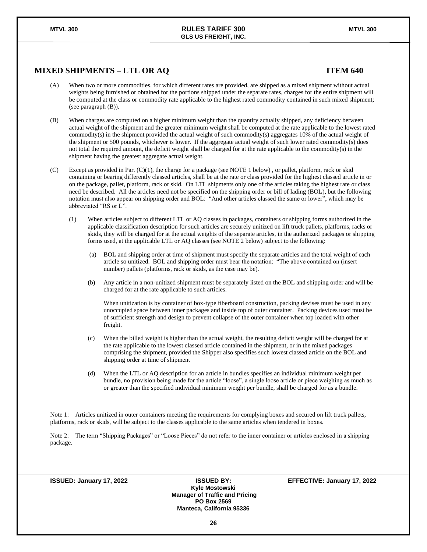### **MIXED SHIPMENTS – LTL OR AQ ITEM 640**

#### (A) When two or more commodities, for which different rates are provided, are shipped as a mixed shipment without actual weights being furnished or obtained for the portions shipped under the separate rates, charges for the entire shipment will be computed at the class or commodity rate applicable to the highest rated commodity contained in such mixed shipment; (see paragraph (B)).

(B) When charges are computed on a higher minimum weight than the quantity actually shipped, any deficiency between actual weight of the shipment and the greater minimum weight shall be computed at the rate applicable to the lowest rated commodity(s) in the shipment provided the actual weight of such commodity(s) aggregates 10% of the actual weight of the shipment or 500 pounds, whichever is lower. If the aggregate actual weight of such lower rated commodity(s) does not total the required amount, the deficit weight shall be charged for at the rate applicable to the commodity(s) in the shipment having the greatest aggregate actual weight.

(C) Except as provided in Par. (C)(1), the charge for a package (see NOTE 1 below) , or pallet, platform, rack or skid containing or bearing differently classed articles, shall be at the rate or class provided for the highest classed article in or on the package, pallet, platform, rack or skid. On LTL shipments only one of the articles taking the highest rate or class need be described. All the articles need not be specified on the shipping order or bill of lading (BOL), but the following notation must also appear on shipping order and BOL: "And other articles classed the same or lower", which may be abbreviated "RS or L".

(1) When articles subject to different LTL or AQ classes in packages, containers or shipping forms authorized in the applicable classification description for such articles are securely unitized on lift truck pallets, platforms, racks or skids, they will be charged for at the actual weights of the separate articles, in the authorized packages or shipping forms used, at the applicable LTL or AQ classes (see NOTE 2 below) subject to the following:

- (a) BOL and shipping order at time of shipment must specify the separate articles and the total weight of each article so unitized. BOL and shipping order must bear the notation: "The above contained on (insert number) pallets (platforms, rack or skids, as the case may be).
- (b) Any article in a non-unitized shipment must be separately listed on the BOL and shipping order and will be charged for at the rate applicable to such articles.

When unitization is by container of box-type fiberboard construction, packing devises must be used in any unoccupied space between inner packages and inside top of outer container. Packing devices used must be of sufficient strength and design to prevent collapse of the outer container when top loaded with other freight.

- (c) When the billed weight is higher than the actual weight, the resulting deficit weight will be charged for at the rate applicable to the lowest classed article contained in the shipment, or in the mixed packages comprising the shipment, provided the Shipper also specifies such lowest classed article on the BOL and shipping order at time of shipment
- (d) When the LTL or AQ description for an article in bundles specifies an individual minimum weight per bundle, no provision being made for the article "loose", a single loose article or piece weighing as much as or greater than the specified individual minimum weight per bundle, shall be charged for as a bundle.

Note 1: Articles unitized in outer containers meeting the requirements for complying boxes and secured on lift truck pallets, platforms, rack or skids, will be subject to the classes applicable to the same articles when tendered in boxes.

Note 2: The term "Shipping Packages" or "Loose Pieces" do not refer to the inner container or articles enclosed in a shipping package.

**Kyle Mostowski Manager of Traffic and Pricing PO Box 2569 Manteca, California 95336**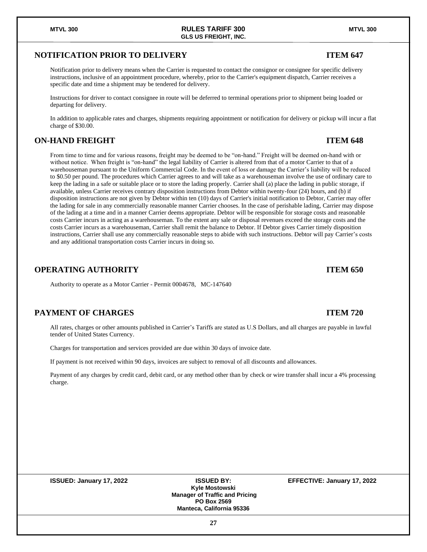### **NOTIFICATION PRIOR TO DELIVERY ITEM 647**

Notification prior to delivery means when the Carrier is requested to contact the consignor or consignee for specific delivery instructions, inclusive of an appointment procedure, whereby, prior to the Carrier's equipment dispatch, Carrier receives a specific date and time a shipment may be tendered for delivery.

**GLS US FREIGHT, INC.**

Instructions for driver to contact consignee in route will be deferred to terminal operations prior to shipment being loaded or departing for delivery.

In addition to applicable rates and charges, shipments requiring appointment or notification for delivery or pickup will incur a flat charge of \$30.00.

### **ON-HAND FREIGHT ITEM 648**

From time to time and for various reasons, freight may be deemed to be "on-hand." Freight will be deemed on-hand with or without notice. When freight is "on-hand" the legal liability of Carrier is altered from that of a motor Carrier to that of a warehouseman pursuant to the Uniform Commercial Code. In the event of loss or damage the Carrier's liability will be reduced to \$0.50 per pound. The procedures which Carrier agrees to and will take as a warehouseman involve the use of ordinary care to keep the lading in a safe or suitable place or to store the lading properly. Carrier shall (a) place the lading in public storage, if available, unless Carrier receives contrary disposition instructions from Debtor within twenty-four (24) hours, and (b) if disposition instructions are not given by Debtor within ten (10) days of Carrier's initial notification to Debtor, Carrier may offer the lading for sale in any commercially reasonable manner Carrier chooses. In the case of perishable lading, Carrier may dispose of the lading at a time and in a manner Carrier deems appropriate. Debtor will be responsible for storage costs and reasonable costs Carrier incurs in acting as a warehouseman. To the extent any sale or disposal revenues exceed the storage costs and the costs Carrier incurs as a warehouseman, Carrier shall remit the balance to Debtor. If Debtor gives Carrier timely disposition instructions, Carrier shall use any commercially reasonable steps to abide with such instructions. Debtor will pay Carrier's costs and any additional transportation costs Carrier incurs in doing so.

### **OPERATING AUTHORITY ITEM 650**

Authority to operate as a Motor Carrier - Permit 0004678, MC-147640

### **PAYMENT OF CHARGES ITEM 720**

All rates, charges or other amounts published in Carrier's Tariffs are stated as U.S Dollars, and all charges are payable in lawful tender of United States Currency.

Charges for transportation and services provided are due within 30 days of invoice date.

If payment is not received within 90 days, invoices are subject to removal of all discounts and allowances.

Payment of any charges by credit card, debit card, or any method other than by check or wire transfer shall incur a 4% processing charge.

**Kyle Mostowski Manager of Traffic and Pricing PO Box 2569 Manteca, California 95336**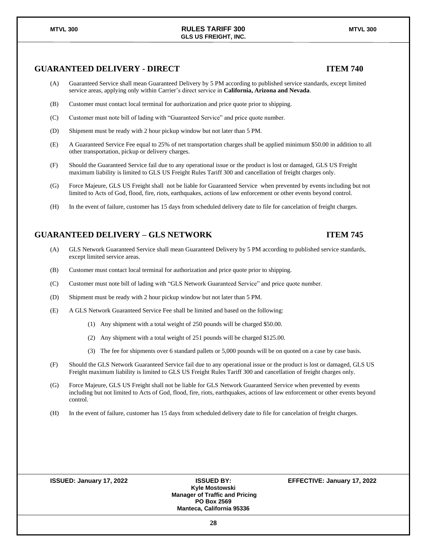### **GUARANTEED DELIVERY - DIRECT ITEM 740**

- (A) Guaranteed Service shall mean Guaranteed Delivery by 5 PM according to published service standards, except limited service areas, applying only within Carrier's direct service in **California, Arizona and Nevada**.
- (B) Customer must contact local terminal for authorization and price quote prior to shipping.
- (C) Customer must note bill of lading with "Guaranteed Service" and price quote number.
- (D) Shipment must be ready with 2 hour pickup window but not later than 5 PM.
- (E) A Guaranteed Service Fee equal to 25% of net transportation charges shall be applied minimum \$50.00 in addition to all other transportation, pickup or delivery charges.
- (F) Should the Guaranteed Service fail due to any operational issue or the product is lost or damaged, GLS US Freight maximum liability is limited to GLS US Freight Rules Tariff 300 and cancellation of freight charges only.
- (G) Force Majeure, GLS US Freight shall not be liable for Guaranteed Service when prevented by events including but not limited to Acts of God, flood, fire, riots, earthquakes, actions of law enforcement or other events beyond control.
- (H) In the event of failure, customer has 15 days from scheduled delivery date to file for cancelation of freight charges.

#### **GUARANTEED DELIVERY – GLS NETWORK ITEM 745**

- (A) GLS Network Guaranteed Service shall mean Guaranteed Delivery by 5 PM according to published service standards, except limited service areas.
- (B) Customer must contact local terminal for authorization and price quote prior to shipping.
- (C) Customer must note bill of lading with "GLS Network Guaranteed Service" and price quote number.
- (D) Shipment must be ready with 2 hour pickup window but not later than 5 PM.
- (E) A GLS Network Guaranteed Service Fee shall be limited and based on the following:
	- (1) Any shipment with a total weight of 250 pounds will be charged \$50.00.
	- (2) Any shipment with a total weight of 251 pounds will be charged \$125.00.
	- (3) The fee for shipments over 6 standard pallets or 5,000 pounds will be on quoted on a case by case basis.
- (F) Should the GLS Network Guaranteed Service fail due to any operational issue or the product is lost or damaged, GLS US Freight maximum liability is limited to GLS US Freight Rules Tariff 300 and cancellation of freight charges only.
- (G) Force Majeure, GLS US Freight shall not be liable for GLS Network Guaranteed Service when prevented by events including but not limited to Acts of God, flood, fire, riots, earthquakes, actions of law enforcement or other events beyond control.
- (H) In the event of failure, customer has 15 days from scheduled delivery date to file for cancelation of freight charges.

| <b>ISSUED: January 17, 2022</b> | <b>ISSUED BY:</b>                     | EFFECTIVE: January 17, 2022 |
|---------------------------------|---------------------------------------|-----------------------------|
|                                 | Kyle Mostowski                        |                             |
|                                 | <b>Manager of Traffic and Pricing</b> |                             |
|                                 | <b>PO Box 2569</b>                    |                             |
|                                 | <b>Manteca, California 95336</b>      |                             |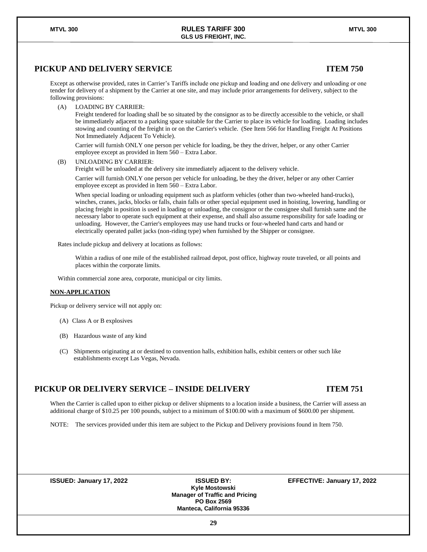### **PICKUP AND DELIVERY SERVICE ITEM 750**

Except as otherwise provided, rates in Carrier's Tariffs include one pickup and loading and one delivery and unloading or one tender for delivery of a shipment by the Carrier at one site, and may include prior arrangements for delivery, subject to the following provisions:

(A) LOADING BY CARRIER:

Freight tendered for loading shall be so situated by the consignor as to be directly accessible to the vehicle, or shall be immediately adjacent to a parking space suitable for the Carrier to place its vehicle for loading. Loading includes stowing and counting of the freight in or on the Carrier's vehicle. (See Item 566 for Handling Freight At Positions Not Immediately Adjacent To Vehicle).

Carrier will furnish ONLY one person per vehicle for loading, be they the driver, helper, or any other Carrier employee except as provided in Item 560 – Extra Labor.

(B) UNLOADING BY CARRIER:

Freight will be unloaded at the delivery site immediately adjacent to the delivery vehicle.

Carrier will furnish ONLY one person per vehicle for unloading, be they the driver, helper or any other Carrier employee except as provided in Item 560 – Extra Labor.

When special loading or unloading equipment such as platform vehicles (other than two-wheeled hand-trucks), winches, cranes, jacks, blocks or falls, chain falls or other special equipment used in hoisting, lowering, handling or placing freight in position is used in loading or unloading, the consignor or the consignee shall furnish same and the necessary labor to operate such equipment at their expense, and shall also assume responsibility for safe loading or unloading. However, the Carrier's employees may use hand trucks or four-wheeled hand carts and hand or electrically operated pallet jacks (non-riding type) when furnished by the Shipper or consignee.

Rates include pickup and delivery at locations as follows:

Within a radius of one mile of the established railroad depot, post office, highway route traveled, or all points and places within the corporate limits.

Within commercial zone area, corporate, municipal or city limits.

#### **NON-APPLICATION**

Pickup or delivery service will not apply on:

- (A) Class A or B explosives
- (B) Hazardous waste of any kind
- (C) Shipments originating at or destined to convention halls, exhibition halls, exhibit centers or other such like establishments except Las Vegas, Nevada.

#### **PICKUP OR DELIVERY SERVICE – INSIDE DELIVERY ITEM 751**

When the Carrier is called upon to either pickup or deliver shipments to a location inside a business, the Carrier will assess an additional charge of \$10.25 per 100 pounds, subject to a minimum of \$100.00 with a maximum of \$600.00 per shipment.

NOTE: The services provided under this item are subject to the Pickup and Delivery provisions found in Item 750.

**ISSUED: January 17, 2022 ISSUED BY: EFFECTIVE: January 17, 2022**

**Kyle Mostowski Manager of Traffic and Pricing PO Box 2569 Manteca, California 95336**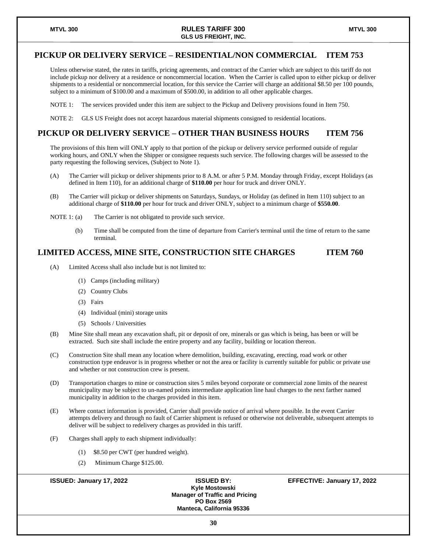#### **PICKUP OR DELIVERY SERVICE – RESIDENTIAL/NON COMMERCIAL ITEM 753**

Unless otherwise stated, the rates in tariffs, pricing agreements, and contract of the Carrier which are subject to this tariff do not include pickup nor delivery at a residence or noncommercial location. When the Carrier is called upon to either pickup or deliver shipments to a residential or noncommercial location, for this service the Carrier will charge an additional \$8.50 per 100 pounds, subject to a minimum of \$100.00 and a maximum of \$500.00, in addition to all other applicable charges.

NOTE 1: The services provided under this item are subject to the Pickup and Delivery provisions found in Item 750.

NOTE 2: GLS US Freight does not accept hazardous material shipments consigned to residential locations.

#### **PICKUP OR DELIVERY SERVICE – OTHER THAN BUSINESS HOURS ITEM 756**

The provisions of this Item will ONLY apply to that portion of the pickup or delivery service performed outside of regular working hours, and ONLY when the Shipper or consignee requests such service. The following charges will be assessed to the party requesting the following services, (Subject to Note 1).

- (A) The Carrier will pickup or deliver shipments prior to 8 A.M. or after 5 P.M. Monday through Friday, except Holidays (as defined in Item 110), for an additional charge of **\$110.00** per hour for truck and driver ONLY.
- (B) The Carrier will pickup or deliver shipments on Saturdays, Sundays, or Holiday (as defined in Item 110) subject to an additional charge of **\$110.00** per hour for truck and driver ONLY, subject to a minimum charge of **\$550.00**.
- NOTE 1: (a) The Carrier is not obligated to provide such service.
	- (b) Time shall be computed from the time of departure from Carrier's terminal until the time of return to the same terminal.

### **LIMITED ACCESS, MINE SITE, CONSTRUCTION SITE CHARGES ITEM 760**

- (A) Limited Access shall also include but is not limited to:
	- (1) Camps (including military)
	- (2) Country Clubs
	- (3) Fairs
	- (4) Individual (mini) storage units
	- (5) Schools / Universities
- (B) Mine Site shall mean any excavation shaft, pit or deposit of ore, minerals or gas which is being, has been or will be extracted. Such site shall include the entire property and any facility, building or location thereon.
- (C) Construction Site shall mean any location where demolition, building, excavating, erecting, road work or other construction type endeavor is in progress whether or not the area or facility is currently suitable for public or private use and whether or not construction crew is present.
- (D) Transportation charges to mine or construction sites 5 miles beyond corporate or commercial zone limits of the nearest municipality may be subject to un-named points intermediate application line haul charges to the next farther named municipality in addition to the charges provided in this item.
- (E) Where contact information is provided, Carrier shall provide notice of arrival where possible. In the event Carrier attempts delivery and through no fault of Carrier shipment is refused or otherwise not deliverable, subsequent attempts to deliver will be subject to redelivery charges as provided in this tariff.
- (F) Charges shall apply to each shipment individually:
	- (1) \$8.50 per CWT (per hundred weight).
	- (2) Minimum Charge \$125.00.

**ISSUED: January 17, 2022 ISSUED BY: EFFECTIVE: January 17, 2022 Kyle Mostowski Manager of Traffic and Pricing PO Box 2569 Manteca, California 95336**

**30**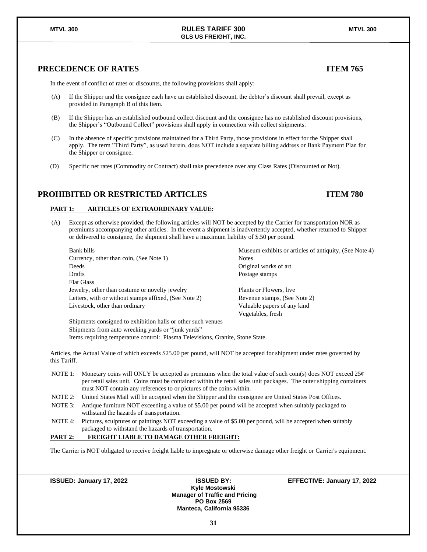### **PRECEDENCE OF RATES ITEM 765**

In the event of conflict of rates or discounts, the following provisions shall apply:

- (A) If the Shipper and the consignee each have an established discount, the debtor's discount shall prevail, except as provided in Paragraph B of this Item.
- (B) If the Shipper has an established outbound collect discount and the consignee has no established discount provisions, the Shipper's "Outbound Collect" provisions shall apply in connection with collect shipments.

**GLS US FREIGHT, INC.**

- (C) In the absence of specific provisions maintained for a Third Party, those provisions in effect for the Shipper shall apply. The term "Third Party", as used herein, does NOT include a separate billing address or Bank Payment Plan for the Shipper or consignee.
- (D) Specific net rates (Commodity or Contract) shall take precedence over any Class Rates (Discounted or Not).

#### **PROHIBITED OR RESTRICTED ARTICLES ITEM 780**

#### **PART 1: ARTICLES OF EXTRAORDINARY VALUE:**

(A) Except as otherwise provided, the following articles will NOT be accepted by the Carrier for transportation NOR as premiums accompanying other articles. In the event a shipment is inadvertently accepted, whether returned to Shipper or delivered to consignee, the shipment shall have a maximum liability of \$.50 per pound.

Currency, other than coin, (See Note 1) Notes Deeds **Original works of art** Drafts Postage stamps Flat Glass Jewelry, other than costume or novelty jewelry Plants or Flowers, live Letters, with or without stamps affixed, (See Note 2) Revenue stamps, (See Note 2) Livestock, other than ordinary Valuable papers of any kind

Bank bills **Bank** bills **Bank** bills **Museum exhibits or articles of antiquity**, (See Note 4)

Vegetables, fresh

Shipments consigned to exhibition halls or other such venues Shipments from auto wrecking yards or "junk yards" Items requiring temperature control: Plasma Televisions, Granite, Stone State.

Articles, the Actual Value of which exceeds \$25.00 per pound, will NOT be accepted for shipment under rates governed by this Tariff.

- NOTE 1: Monetary coins will ONLY be accepted as premiums when the total value of such coin(s) does NOT exceed 25¢ per retail sales unit. Coins must be contained within the retail sales unit packages. The outer shipping containers must NOT contain any references to or pictures of the coins within.
- NOTE 2: United States Mail will be accepted when the Shipper and the consignee are United States Post Offices.
- NOTE 3: Antique furniture NOT exceeding a value of \$5.00 per pound will be accepted when suitably packaged to withstand the hazards of transportation.
- NOTE 4: Pictures, sculptures or paintings NOT exceeding a value of \$5.00 per pound, will be accepted when suitably packaged to withstand the hazards of transportation.

#### **PART 2: FREIGHT LIABLE TO DAMAGE OTHER FREIGHT:**

The Carrier is NOT obligated to receive freight liable to impregnate or otherwise damage other freight or Carrier's equipment.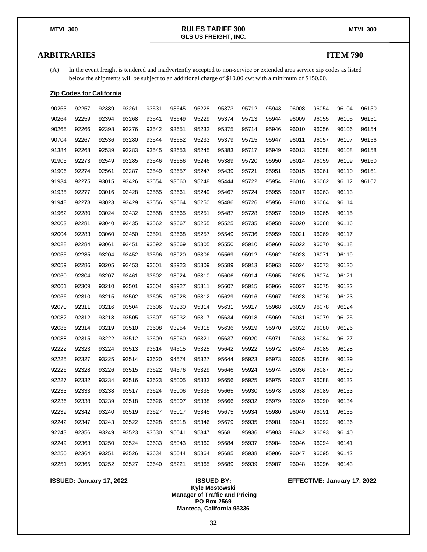### **ARBITRARIES ITEM 790**

(A) In the event freight is tendered and inadvertently accepted to non-service or extended area service zip codes as listed below the shipments will be subject to an additional charge of \$10.00 cwt with a minimum of \$150.00.

#### **Zip Codes for California**

| 90263 | 92257 | 92389 | 93261 | 93531 | 93645 | 95228 | 95373 | 95712 | 95943 | 96008 | 96054 | 96104 | 96150 |
|-------|-------|-------|-------|-------|-------|-------|-------|-------|-------|-------|-------|-------|-------|
| 90264 | 92259 | 92394 | 93268 | 93541 | 93649 | 95229 | 95374 | 95713 | 95944 | 96009 | 96055 | 96105 | 96151 |
| 90265 | 92266 | 92398 | 93276 | 93542 | 93651 | 95232 | 95375 | 95714 | 95946 | 96010 | 96056 | 96106 | 96154 |
| 90704 | 92267 | 92536 | 93280 | 93544 | 93652 | 95233 | 95379 | 95715 | 95947 | 96011 | 96057 | 96107 | 96156 |
| 91384 | 92268 | 92539 | 93283 | 93545 | 93653 | 95245 | 95383 | 95717 | 95949 | 96013 | 96058 | 96108 | 96158 |
| 91905 | 92273 | 92549 | 93285 | 93546 | 93656 | 95246 | 95389 | 95720 | 95950 | 96014 | 96059 | 96109 | 96160 |
| 91906 | 92274 | 92561 | 93287 | 93549 | 93657 | 95247 | 95439 | 95721 | 95951 | 96015 | 96061 | 96110 | 96161 |
| 91934 | 92275 | 93015 | 93426 | 93554 | 93660 | 95248 | 95444 | 95722 | 95954 | 96016 | 96062 | 96112 | 96162 |
| 91935 | 92277 | 93016 | 93428 | 93555 | 93661 | 95249 | 95467 | 95724 | 95955 | 96017 | 96063 | 96113 |       |
| 91948 | 92278 | 93023 | 93429 | 93556 | 93664 | 95250 | 95486 | 95726 | 95956 | 96018 | 96064 | 96114 |       |
| 91962 | 92280 | 93024 | 93432 | 93558 | 93665 | 95251 | 95487 | 95728 | 95957 | 96019 | 96065 | 96115 |       |
| 92003 | 92281 | 93040 | 93435 | 93562 | 93667 | 95255 | 95525 | 95735 | 95958 | 96020 | 96068 | 96116 |       |
| 92004 | 92283 | 93060 | 93450 | 93591 | 93668 | 95257 | 95549 | 95736 | 95959 | 96021 | 96069 | 96117 |       |
| 92028 | 92284 | 93061 | 93451 | 93592 | 93669 | 95305 | 95550 | 95910 | 95960 | 96022 | 96070 | 96118 |       |
| 92055 | 92285 | 93204 | 93452 | 93596 | 93920 | 95306 | 95569 | 95912 | 95962 | 96023 | 96071 | 96119 |       |
| 92059 | 92286 | 93205 | 93453 | 93601 | 93923 | 95309 | 95589 | 95913 | 95963 | 96024 | 96073 | 96120 |       |
| 92060 | 92304 | 93207 | 93461 | 93602 | 93924 | 95310 | 95606 | 95914 | 95965 | 96025 | 96074 | 96121 |       |
| 92061 | 92309 | 93210 | 93501 | 93604 | 93927 | 95311 | 95607 | 95915 | 95966 | 96027 | 96075 | 96122 |       |
| 92066 | 92310 | 93215 | 93502 | 93605 | 93928 | 95312 | 95629 | 95916 | 95967 | 96028 | 96076 | 96123 |       |
| 92070 | 92311 | 93216 | 93504 | 93606 | 93930 | 95314 | 95631 | 95917 | 95968 | 96029 | 96078 | 96124 |       |
| 92082 | 92312 | 93218 | 93505 | 93607 | 93932 | 95317 | 95634 | 95918 | 95969 | 96031 | 96079 | 96125 |       |
| 92086 | 92314 | 93219 | 93510 | 93608 | 93954 | 95318 | 95636 | 95919 | 95970 | 96032 | 96080 | 96126 |       |
| 92088 | 92315 | 93222 | 93512 | 93609 | 93960 | 95321 | 95637 | 95920 | 95971 | 96033 | 96084 | 96127 |       |
| 92222 | 92323 | 93224 | 93513 | 93614 | 94515 | 95325 | 95642 | 95922 | 95972 | 96034 | 96085 | 96128 |       |
| 92225 | 92327 | 93225 | 93514 | 93620 | 94574 | 95327 | 95644 | 95923 | 95973 | 96035 | 96086 | 96129 |       |
| 92226 | 92328 | 93226 | 93515 | 93622 | 94576 | 95329 | 95646 | 95924 | 95974 | 96036 | 96087 | 96130 |       |
| 92227 | 92332 | 93234 | 93516 | 93623 | 95005 | 95333 | 95656 | 95925 | 95975 | 96037 | 96088 | 96132 |       |
| 92233 | 92333 | 93238 | 93517 | 93624 | 95006 | 95335 | 95665 | 95930 | 95978 | 96038 | 96089 | 96133 |       |
| 92236 | 92338 | 93239 | 93518 | 93626 | 95007 | 95338 | 95666 | 95932 | 95979 | 96039 | 96090 | 96134 |       |
| 92239 | 92342 | 93240 | 93519 | 93627 | 95017 | 95345 | 95675 | 95934 | 95980 | 96040 | 96091 | 96135 |       |
| 92242 | 92347 | 93243 | 93522 | 93628 | 95018 | 95346 | 95679 | 95935 | 95981 | 96041 | 96092 | 96136 |       |
| 92243 | 92356 | 93249 | 93523 | 93630 | 95041 | 95347 | 95681 | 95936 | 95983 | 96042 | 96093 | 96140 |       |
| 92249 | 92363 | 93250 | 93524 | 93633 | 95043 | 95360 | 95684 | 95937 | 95984 | 96046 | 96094 | 96141 |       |
| 92250 | 92364 | 93251 | 93526 | 93634 | 95044 | 95364 | 95685 | 95938 | 95986 | 96047 | 96095 | 96142 |       |
| 92251 | 92365 | 93252 | 93527 | 93640 | 95221 | 95365 | 95689 | 95939 | 95987 | 96048 | 96096 | 96143 |       |

**Kyle Mostowski Manager of Traffic and Pricing PO Box 2569 Manteca, California 95336**

**ISSUED: January 17, 2022 ISSUED BY: EFFECTIVE: January 17, 2022**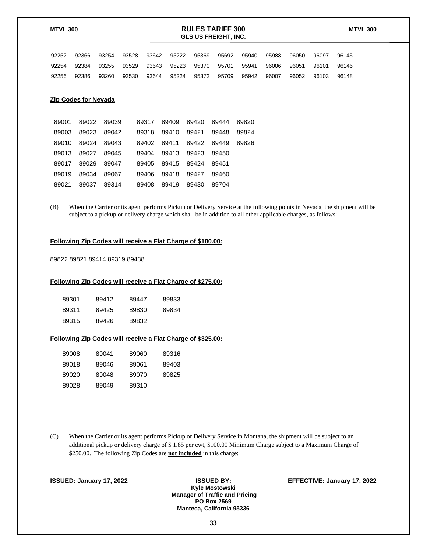| <b>RULES TARIFF 300</b><br><b>MTVL 300</b><br><b>GLS US FREIGHT, INC.</b> |                                               |                |       |                |                |                |                |                | <b>MTVL 300</b> |       |       |       |  |
|---------------------------------------------------------------------------|-----------------------------------------------|----------------|-------|----------------|----------------|----------------|----------------|----------------|-----------------|-------|-------|-------|--|
| 92252                                                                     | 92366                                         | 93254          | 93528 | 93642          | 95222          | 95369          | 95692          | 95940          | 95988           | 96050 | 96097 | 96145 |  |
| 92254                                                                     | 92384                                         | 93255          | 93529 | 93643          | 95223          | 95370          | 95701          | 95941          | 96006           | 96051 | 96101 | 96146 |  |
| 92256                                                                     | 92386                                         | 93260          | 93530 | 93644          | 95224          | 95372          | 95709          | 95942          | 96007           | 96052 | 96103 | 96148 |  |
| 89001<br>89003                                                            | <b>Zip Codes for Nevada</b><br>89022<br>89023 | 89039<br>89042 |       | 89317<br>89318 | 89409<br>89410 | 89420<br>89421 | 89444<br>89448 | 89820<br>89824 |                 |       |       |       |  |
| 89010                                                                     | 89024                                         | 89043          |       | 89402          | 89411          | 89422          | 89449          | 89826          |                 |       |       |       |  |

|                   | 89010 89024 89043 89402 89411 89422 89449 89826 |                         |  |
|-------------------|-------------------------------------------------|-------------------------|--|
|                   | 89013 89027 89045 89404 89413 89423 89450       |                         |  |
|                   | 89017 89029 89047 89405 89415 89424 89451       |                         |  |
| 89019 89034 89067 |                                                 | 89406 89418 89427 89460 |  |
|                   | 89021 89037 89314 89408 89419 89430 89704       |                         |  |

(B) When the Carrier or its agent performs Pickup or Delivery Service at the following points in Nevada, the shipment will be subject to a pickup or delivery charge which shall be in addition to all other applicable charges, as follows:

### **Following Zip Codes will receive a Flat Charge of \$100.00:**

89822 89821 89414 89319 89438

#### **Following Zip Codes will receive a Flat Charge of \$275.00:**

| 89301 | 89412 | 89447 | 89833 |
|-------|-------|-------|-------|
| 89311 | 89425 | 89830 | 89834 |
| 89315 | 89426 | 89832 |       |

### **Following Zip Codes will receive a Flat Charge of \$325.00:**

| 89008 | 89041 | 89060 | 89316 |
|-------|-------|-------|-------|
| 89018 | 89046 | 89061 | 89403 |
| 89020 | 89048 | 89070 | 89825 |
| 89028 | 89049 | 89310 |       |

(C) When the Carrier or its agent performs Pickup or Delivery Service in Montana, the shipment will be subject to an additional pickup or delivery charge of \$ 1.85 per cwt, \$100.00 Minimum Charge subject to a Maximum Charge of \$250.00. The following Zip Codes are **not included** in this charge:

| <b>ISSUED BY:</b><br>Kyle Mostowski<br><b>Manager of Traffic and Pricing</b><br><b>PO Box 2569</b><br><b>Manteca, California 95336</b> | EFFECTIVE: January 17, 2022 |
|----------------------------------------------------------------------------------------------------------------------------------------|-----------------------------|
| 33                                                                                                                                     |                             |
|                                                                                                                                        |                             |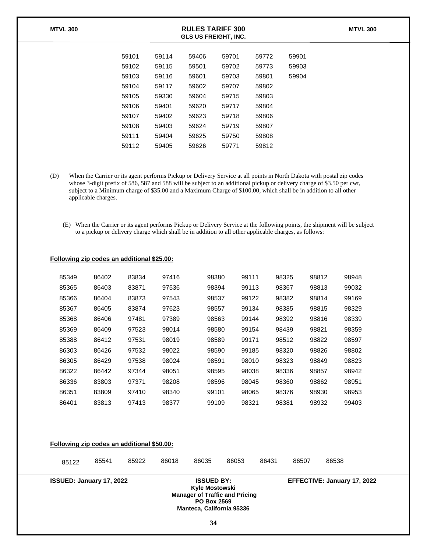| <b>MTVL 300</b> | <b>RULES TARIFF 300</b><br><b>GLS US FREIGHT, INC.</b> |       |       |       |       |       | <b>MTVL 300</b> |
|-----------------|--------------------------------------------------------|-------|-------|-------|-------|-------|-----------------|
|                 | 59101                                                  | 59114 | 59406 | 59701 | 59772 | 59901 |                 |
|                 | 59102                                                  | 59115 | 59501 | 59702 | 59773 | 59903 |                 |
|                 | 59103                                                  | 59116 | 59601 | 59703 | 59801 | 59904 |                 |
|                 | 59104                                                  | 59117 | 59602 | 59707 | 59802 |       |                 |
|                 | 59105                                                  | 59330 | 59604 | 59715 | 59803 |       |                 |
|                 | 59106                                                  | 59401 | 59620 | 59717 | 59804 |       |                 |
|                 | 59107                                                  | 59402 | 59623 | 59718 | 59806 |       |                 |
|                 | 59108                                                  | 59403 | 59624 | 59719 | 59807 |       |                 |
|                 | 59111                                                  | 59404 | 59625 | 59750 | 59808 |       |                 |
|                 | 59112                                                  | 59405 | 59626 | 59771 | 59812 |       |                 |
|                 |                                                        |       |       |       |       |       |                 |

- (D) When the Carrier or its agent performs Pickup or Delivery Service at all points in North Dakota with postal zip codes whose 3-digit prefix of 586, 587 and 588 will be subject to an additional pickup or delivery charge of \$3.50 per cwt, subject to a Minimum charge of \$35.00 and a Maximum Charge of \$100.00, which shall be in addition to all other applicable charges.
	- (E) When the Carrier or its agent performs Pickup or Delivery Service at the following points, the shipment will be subject to a pickup or delivery charge which shall be in addition to all other applicable charges, as follows:

|  | Following zip codes an additional \$25.00: |  |
|--|--------------------------------------------|--|
|  |                                            |  |

| 85349 | 86402 | 83834 | 97416 | 98380 | 99111 | 98325 | 98812 | 98948 |
|-------|-------|-------|-------|-------|-------|-------|-------|-------|
| 85365 | 86403 | 83871 | 97536 | 98394 | 99113 | 98367 | 98813 | 99032 |
| 85366 | 86404 | 83873 | 97543 | 98537 | 99122 | 98382 | 98814 | 99169 |
| 85367 | 86405 | 83874 | 97623 | 98557 | 99134 | 98385 | 98815 | 98329 |
| 85368 | 86406 | 97481 | 97389 | 98563 | 99144 | 98392 | 98816 | 98339 |
| 85369 | 86409 | 97523 | 98014 | 98580 | 99154 | 98439 | 98821 | 98359 |
| 85388 | 86412 | 97531 | 98019 | 98589 | 99171 | 98512 | 98822 | 98597 |
| 86303 | 86426 | 97532 | 98022 | 98590 | 99185 | 98320 | 98826 | 98802 |
| 86305 | 86429 | 97538 | 98024 | 98591 | 98010 | 98323 | 98849 | 98823 |
| 86322 | 86442 | 97344 | 98051 | 98595 | 98038 | 98336 | 98857 | 98942 |
| 86336 | 83803 | 97371 | 98208 | 98596 | 98045 | 98360 | 98862 | 98951 |
| 86351 | 83809 | 97410 | 98340 | 99101 | 98065 | 98376 | 98930 | 98953 |
| 86401 | 83813 | 97413 | 98377 | 99109 | 98321 | 98381 | 98932 | 99403 |

| Following zip codes an additional \$50.00:                                                                                                                                | 85541 | 85922 | 86018 | 86035 | 86053 | 86431 | 86507                       | 86538 |  |
|---------------------------------------------------------------------------------------------------------------------------------------------------------------------------|-------|-------|-------|-------|-------|-------|-----------------------------|-------|--|
| 85122                                                                                                                                                                     |       |       |       |       |       |       |                             |       |  |
| <b>ISSUED BY:</b><br><b>ISSUED: January 17, 2022</b><br>Kyle Mostowski<br><b>Manager of Traffic and Pricing</b><br><b>PO Box 2569</b><br><b>Manteca, California 95336</b> |       |       |       |       |       |       | EFFECTIVE: January 17, 2022 |       |  |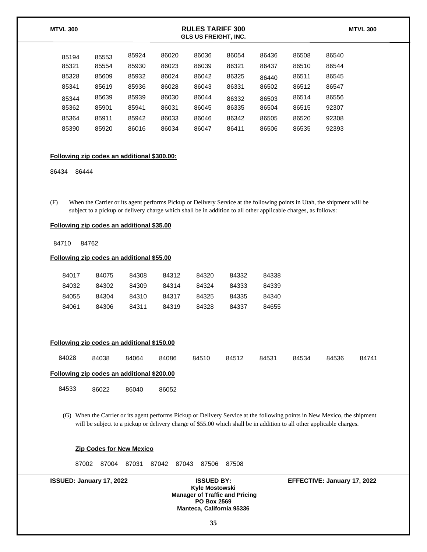| <b>MTVL 300</b> |       |       |       | <b>MTVL 300</b> |       |       |       |       |  |
|-----------------|-------|-------|-------|-----------------|-------|-------|-------|-------|--|
| 85194           | 85553 | 85924 | 86020 | 86036           | 86054 | 86436 | 86508 | 86540 |  |
| 85321           | 85554 | 85930 | 86023 | 86039           | 86321 | 86437 | 86510 | 86544 |  |
| 85328           | 85609 | 85932 | 86024 | 86042           | 86325 | 86440 | 86511 | 86545 |  |
| 85341           | 85619 | 85936 | 86028 | 86043           | 86331 | 86502 | 86512 | 86547 |  |
| 85344           | 85639 | 85939 | 86030 | 86044           | 86332 | 86503 | 86514 | 86556 |  |
| 85362           | 85901 | 85941 | 86031 | 86045           | 86335 | 86504 | 86515 | 92307 |  |
| 85364           | 85911 | 85942 | 86033 | 86046           | 86342 | 86505 | 86520 | 92308 |  |
| 85390           | 85920 | 86016 | 86034 | 86047           | 86411 | 86506 | 86535 | 92393 |  |

#### **Following zip codes an additional \$300.00:**

86434 86444

(F) When the Carrier or its agent performs Pickup or Delivery Service at the following points in Utah, the shipment will be subject to a pickup or delivery charge which shall be in addition to all other applicable charges, as follows:

#### **Following zip codes an additional \$35.00**

84710 84762

#### **Following zip codes an additional \$55.00**

| 84017 | 84075 | 84308 | 84312 | 84320 | 84332 | 84338 |
|-------|-------|-------|-------|-------|-------|-------|
| 84032 | 84302 | 84309 | 84314 | 84324 | 84333 | 84339 |
| 84055 | 84304 | 84310 | 84317 | 84325 | 84335 | 84340 |
| 84061 | 84306 | 84311 | 84319 | 84328 | 84337 | 84655 |

#### **Following zip codes an additional \$150.00**

| 84028                                      | 84038 | 84064 | 84086 | 84510 | 84512 | 84531 | 84534 | 84536 | 84741 |
|--------------------------------------------|-------|-------|-------|-------|-------|-------|-------|-------|-------|
| Following zip codes an additional \$200.00 |       |       |       |       |       |       |       |       |       |
| 84533                                      | 86022 | 86040 | 86052 |       |       |       |       |       |       |

(G) When the Carrier or its agent performs Pickup or Delivery Service at the following points in New Mexico, the shipment will be subject to a pickup or delivery charge of \$55.00 which shall be in addition to all other applicable charges.

#### **Zip Codes for New Mexico**

87002 87004 87031 87042 87043 87506 87508

| Kyle Mostowski                        |
|---------------------------------------|
| <b>Manager of Traffic and Pricing</b> |
| PO Box 2569                           |
| <b>Manteca, California 95336</b>      |
|                                       |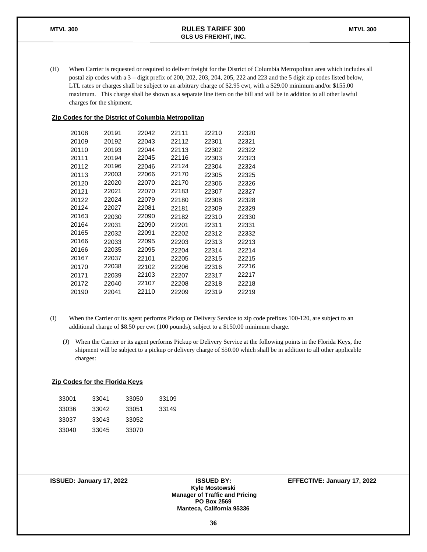(H) When Carrier is requested or required to deliver freight for the District of Columbia Metropolitan area which includes all postal zip codes with a 3 – digit prefix of 200, 202, 203, 204, 205, 222 and 223 and the 5 digit zip codes listed below, LTL rates or charges shall be subject to an arbitrary charge of \$2.95 cwt, with a \$29.00 minimum and/or \$155.00 maximum. This charge shall be shown as a separate line item on the bill and will be in addition to all other lawful charges for the shipment.

#### **Zip Codes for the District of Columbia Metropolitan**

| 20108 | 20191 | 22042 | 22111 | 22210 | 22320 |
|-------|-------|-------|-------|-------|-------|
| 20109 | 20192 | 22043 | 22112 | 22301 | 22321 |
| 20110 | 20193 | 22044 | 22113 | 22302 | 22322 |
| 20111 | 20194 | 22045 | 22116 | 22303 | 22323 |
| 20112 | 20196 | 22046 | 22124 | 22304 | 22324 |
| 20113 | 22003 | 22066 | 22170 | 22305 | 22325 |
| 20120 | 22020 | 22070 | 22170 | 22306 | 22326 |
| 20121 | 22021 | 22070 | 22183 | 22307 | 22327 |
| 20122 | 22024 | 22079 | 22180 | 22308 | 22328 |
| 20124 | 22027 | 22081 | 22181 | 22309 | 22329 |
| 20163 | 22030 | 22090 | 22182 | 22310 | 22330 |
| 20164 | 22031 | 22090 | 22201 | 22311 | 22331 |
| 20165 | 22032 | 22091 | 22202 | 22312 | 22332 |
| 20166 | 22033 | 22095 | 22203 | 22313 | 22213 |
| 20166 | 22035 | 22095 | 22204 | 22314 | 22214 |
| 20167 | 22037 | 22101 | 22205 | 22315 | 22215 |
| 20170 | 22038 | 22102 | 22206 | 22316 | 22216 |
| 20171 | 22039 | 22103 | 22207 | 22317 | 22217 |
| 20172 | 22040 | 22107 | 22208 | 22318 | 22218 |
| 20190 | 22041 | 22110 | 22209 | 22319 | 22219 |

- (I) When the Carrier or its agent performs Pickup or Delivery Service to zip code prefixes 100-120, are subject to an additional charge of \$8.50 per cwt (100 pounds), subject to a \$150.00 minimum charge.
	- (J) When the Carrier or its agent performs Pickup or Delivery Service at the following points in the Florida Keys, the shipment will be subject to a pickup or delivery charge of \$50.00 which shall be in addition to all other applicable charges:

#### **Zip Codes for the Florida Keys**

| 33001 | 33041 | 33050 | 33109 |
|-------|-------|-------|-------|
| 33036 | 33042 | 33051 | 33149 |
| 33037 | 33043 | 33052 |       |
| 33040 | 33045 | 33070 |       |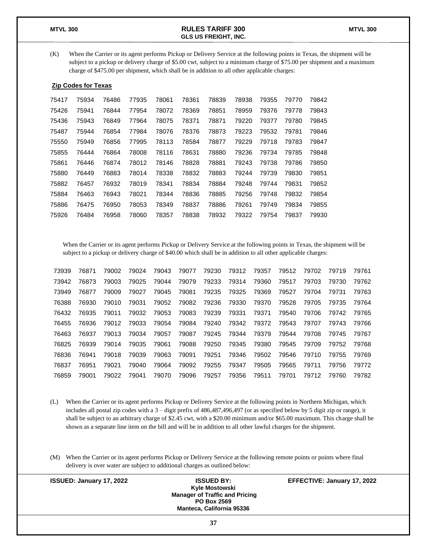(K) When the Carrier or its agent performs Pickup or Delivery Service at the following points in Texas, the shipment will be subject to a pickup or delivery charge of \$5.00 cwt, subject to a minimum charge of \$75.00 per shipment and a maximum charge of \$475.00 per shipment, which shall be in addition to all other applicable charges:

#### **Zip Codes for Texas**

| 75417 | 75934 | 76486 | 77935 | 78061 | 78361 | 78839 | 78938 | 79355 | 79770 | 79842 |
|-------|-------|-------|-------|-------|-------|-------|-------|-------|-------|-------|
| 75426 | 75941 | 76844 | 77954 | 78072 | 78369 | 78851 | 78959 | 79376 | 79778 | 79843 |
| 75436 | 75943 | 76849 | 77964 | 78075 | 78371 | 78871 | 79220 | 79377 | 79780 | 79845 |
| 75487 | 75944 | 76854 | 77984 | 78076 | 78376 | 78873 | 79223 | 79532 | 79781 | 79846 |
| 75550 | 75949 | 76856 | 77995 | 78113 | 78584 | 78877 | 79229 | 79718 | 79783 | 79847 |
| 75855 | 76444 | 76864 | 78008 | 78116 | 78631 | 78880 | 79236 | 79734 | 79785 | 79848 |
| 75861 | 76446 | 76874 | 78012 | 78146 | 78828 | 78881 | 79243 | 79738 | 79786 | 79850 |
| 75880 | 76449 | 76883 | 78014 | 78338 | 78832 | 78883 | 79244 | 79739 | 79830 | 79851 |
| 75882 | 76457 | 76932 | 78019 | 78341 | 78834 | 78884 | 79248 | 79744 | 79831 | 79852 |
| 75884 | 76463 | 76943 | 78021 | 78344 | 78836 | 78885 | 79256 | 79748 | 79832 | 79854 |
| 75886 | 76475 | 76950 | 78053 | 78349 | 78837 | 78886 | 79261 | 79749 | 79834 | 79855 |
| 75926 | 76484 | 76958 | 78060 | 78357 | 78838 | 78932 | 79322 | 79754 | 79837 | 79930 |
|       |       |       |       |       |       |       |       |       |       |       |

When the Carrier or its agent performs Pickup or Delivery Service at the following points in Texas, the shipment will be subject to a pickup or delivery charge of \$40.00 which shall be in addition to all other applicable charges:

| 73939 | 76871 | 79002 | 79024 | 79043 | 79077 | 79230 | 79312 | 79357 | 79512 | 79702 | 79719 | 79761 |
|-------|-------|-------|-------|-------|-------|-------|-------|-------|-------|-------|-------|-------|
| 73942 | 76873 | 79003 | 79025 | 79044 | 79079 | 79233 | 79314 | 79360 | 79517 | 79703 | 79730 | 79762 |
| 73949 | 76877 | 79009 | 79027 | 79045 | 79081 | 79235 | 79325 | 79369 | 79527 | 79704 | 79731 | 79763 |
| 76388 | 76930 | 79010 | 79031 | 79052 | 79082 | 79236 | 79330 | 79370 | 79528 | 79705 | 79735 | 79764 |
| 76432 | 76935 | 79011 | 79032 | 79053 | 79083 | 79239 | 79331 | 79371 | 79540 | 79706 | 79742 | 79765 |
| 76455 | 76936 | 79012 | 79033 | 79054 | 79084 | 79240 | 79342 | 79372 | 79543 | 79707 | 79743 | 79766 |
| 76463 | 76937 | 79013 | 79034 | 79057 | 79087 | 79245 | 79344 | 79379 | 79544 | 79708 | 79745 | 79767 |
| 76825 | 76939 | 79014 | 79035 | 79061 | 79088 | 79250 | 79345 | 79380 | 79545 | 79709 | 79752 | 79768 |
| 76836 | 76941 | 79018 | 79039 | 79063 | 79091 | 79251 | 79346 | 79502 | 79546 | 79710 | 79755 | 79769 |
| 76837 | 76951 | 79021 | 79040 | 79064 | 79092 | 79255 | 79347 | 79505 | 79565 | 79711 | 79756 | 79772 |
| 76859 | 79001 | 79022 | 79041 | 79070 | 79096 | 79257 | 79356 | 79511 | 79701 | 79712 | 79760 | 79782 |

- (L) When the Carrier or its agent performs Pickup or Delivery Service at the following points in Northern Michigan, which includes all postal zip codes with a 3 – digit prefix of 486,487,496,497 (or as specified below by 5 digit zip or range), it shall be subject to an arbitrary charge of \$2.45 cwt, with a \$20.00 minimum and/or \$65.00 maximum. This charge shall be shown as a separate line item on the bill and will be in addition to all other lawful charges for the shipment.
- (M) When the Carrier or its agent performs Pickup or Delivery Service at the following remote points or points where final delivery is over water are subject to additional charges as outlined below:

| <b>ISSUED: January 17, 2022</b> | <b>ISSUED BY:</b><br>Kyle Mostowski<br><b>Manager of Traffic and Pricing</b><br><b>PO Box 2569</b><br><b>Manteca, California 95336</b> | EFFECTIVE: January 17, 2022 |
|---------------------------------|----------------------------------------------------------------------------------------------------------------------------------------|-----------------------------|
|                                 | 37                                                                                                                                     |                             |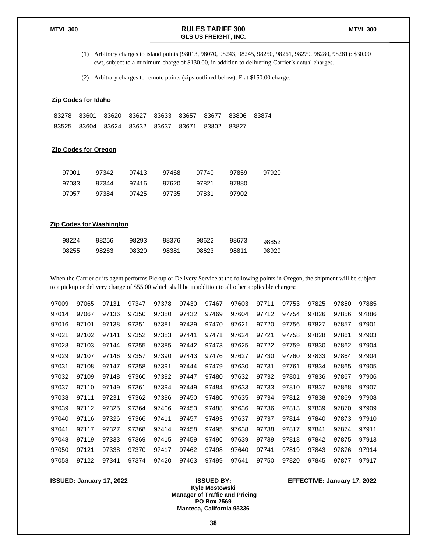(1) Arbitrary charges to island points (98013, 98070, 98243, 98245, 98250, 98261, 98279, 98280, 98281): \$30.00 cwt, subject to a minimum charge of \$130.00, in addition to delivering Carrier's actual charges.

(2) Arbitrary charges to remote points (zips outlined below): Flat \$150.00 charge.

#### **Zip Codes for Idaho**

|  |  | 83278 83601 83620 83627 83633 83657 83677 83806 83874 |  |  |
|--|--|-------------------------------------------------------|--|--|
|  |  | 83525 83604 83624 83632 83637 83671 83802 83827       |  |  |

#### **Zip Codes for Oregon**

| 97001 | 97342 | 97413 | 97468 | 97740 | 97859 | 97920 |
|-------|-------|-------|-------|-------|-------|-------|
| 97033 | 97344 | 97416 | 97620 | 97821 | 97880 |       |
| 97057 | 97384 | 97425 | 97735 | 97831 | 97902 |       |

#### **Zip Codes for Washington**

| 98224 | 98256 | 98293 | 98376 | 98622 | 98673 | 98852 |
|-------|-------|-------|-------|-------|-------|-------|
| 98255 | 98263 | 98320 | 98381 | 98623 | 98811 | 98929 |

When the Carrier or its agent performs Pickup or Delivery Service at the following points in Oregon, the shipment will be subject to a pickup or delivery charge of \$55.00 which shall be in addition to all other applicable charges:

| 97009 | 97065 | 97131 | 97347 | 97378 | 97430 | 97467 | 97603 | 97711 | 97753 | 97825 | 97850 | 97885 |
|-------|-------|-------|-------|-------|-------|-------|-------|-------|-------|-------|-------|-------|
| 97014 | 97067 | 97136 | 97350 | 97380 | 97432 | 97469 | 97604 | 97712 | 97754 | 97826 | 97856 | 97886 |
| 97016 | 97101 | 97138 | 97351 | 97381 | 97439 | 97470 | 97621 | 97720 | 97756 | 97827 | 97857 | 97901 |
| 97021 | 97102 | 97141 | 97352 | 97383 | 97441 | 97471 | 97624 | 97721 | 97758 | 97828 | 97861 | 97903 |
| 97028 | 97103 | 97144 | 97355 | 97385 | 97442 | 97473 | 97625 | 97722 | 97759 | 97830 | 97862 | 97904 |
| 97029 | 97107 | 97146 | 97357 | 97390 | 97443 | 97476 | 97627 | 97730 | 97760 | 97833 | 97864 | 97904 |
| 97031 | 97108 | 97147 | 97358 | 97391 | 97444 | 97479 | 97630 | 97731 | 97761 | 97834 | 97865 | 97905 |
| 97032 | 97109 | 97148 | 97360 | 97392 | 97447 | 97480 | 97632 | 97732 | 97801 | 97836 | 97867 | 97906 |
| 97037 | 97110 | 97149 | 97361 | 97394 | 97449 | 97484 | 97633 | 97733 | 97810 | 97837 | 97868 | 97907 |
| 97038 | 97111 | 97231 | 97362 | 97396 | 97450 | 97486 | 97635 | 97734 | 97812 | 97838 | 97869 | 97908 |
| 97039 | 97112 | 97325 | 97364 | 97406 | 97453 | 97488 | 97636 | 97736 | 97813 | 97839 | 97870 | 97909 |
| 97040 | 97116 | 97326 | 97366 | 97411 | 97457 | 97493 | 97637 | 97737 | 97814 | 97840 | 97873 | 97910 |
| 97041 | 97117 | 97327 | 97368 | 97414 | 97458 | 97495 | 97638 | 97738 | 97817 | 97841 | 97874 | 97911 |
| 97048 | 97119 | 97333 | 97369 | 97415 | 97459 | 97496 | 97639 | 97739 | 97818 | 97842 | 97875 | 97913 |
| 97050 | 97121 | 97338 | 97370 | 97417 | 97462 | 97498 | 97640 | 97741 | 97819 | 97843 | 97876 | 97914 |
| 97058 | 97122 | 97341 | 97374 | 97420 | 97463 | 97499 | 97641 | 97750 | 97820 | 97845 | 97877 | 97917 |

**Kyle Mostowski Manager of Traffic and Pricing PO Box 2569 Manteca, California 95336**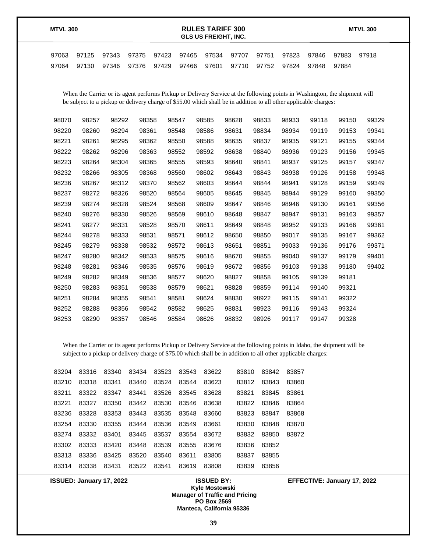| <b>MTVL 300</b> |                |                |                            | <b>RULES TARIFF 300</b><br><b>GLS US FREIGHT. INC.</b> |                   |                   |  |                | <b>MTVL 300</b> |                |       |  |
|-----------------|----------------|----------------|----------------------------|--------------------------------------------------------|-------------------|-------------------|--|----------------|-----------------|----------------|-------|--|
| 97063<br>97064  | 97125<br>97130 | 97343<br>97346 | 97375 97423<br>97376 97429 | 97465<br>97466                                         | 97534 97707 97751 | 97601 97710 97752 |  | 97823<br>97824 | 97846<br>97848  | 97883<br>97884 | 97918 |  |

When the Carrier or its agent performs Pickup or Delivery Service at the following points in Washington, the shipment will be subject to a pickup or delivery charge of \$55.00 which shall be in addition to all other applicable charges:

| 98070 | 98257 | 98292 | 98358 | 98547 | 98585 | 98628 | 98833 | 98933 | 99118 | 99150 | 99329 |
|-------|-------|-------|-------|-------|-------|-------|-------|-------|-------|-------|-------|
| 98220 | 98260 | 98294 | 98361 | 98548 | 98586 | 98631 | 98834 | 98934 | 99119 | 99153 | 99341 |
| 98221 | 98261 | 98295 | 98362 | 98550 | 98588 | 98635 | 98837 | 98935 | 99121 | 99155 | 99344 |
| 98222 | 98262 | 98296 | 98363 | 98552 | 98592 | 98638 | 98840 | 98936 | 99123 | 99156 | 99345 |
| 98223 | 98264 | 98304 | 98365 | 98555 | 98593 | 98640 | 98841 | 98937 | 99125 | 99157 | 99347 |
| 98232 | 98266 | 98305 | 98368 | 98560 | 98602 | 98643 | 98843 | 98938 | 99126 | 99158 | 99348 |
| 98236 | 98267 | 98312 | 98370 | 98562 | 98603 | 98644 | 98844 | 98941 | 99128 | 99159 | 99349 |
| 98237 | 98272 | 98326 | 98520 | 98564 | 98605 | 98645 | 98845 | 98944 | 99129 | 99160 | 99350 |
| 98239 | 98274 | 98328 | 98524 | 98568 | 98609 | 98647 | 98846 | 98946 | 99130 | 99161 | 99356 |
| 98240 | 98276 | 98330 | 98526 | 98569 | 98610 | 98648 | 98847 | 98947 | 99131 | 99163 | 99357 |
| 98241 | 98277 | 98331 | 98528 | 98570 | 98611 | 98649 | 98848 | 98952 | 99133 | 99166 | 99361 |
| 98244 | 98278 | 98333 | 98531 | 98571 | 98612 | 98650 | 98850 | 99017 | 99135 | 99167 | 99362 |
| 98245 | 98279 | 98338 | 98532 | 98572 | 98613 | 98651 | 98851 | 99033 | 99136 | 99176 | 99371 |
| 98247 | 98280 | 98342 | 98533 | 98575 | 98616 | 98670 | 98855 | 99040 | 99137 | 99179 | 99401 |
| 98248 | 98281 | 98346 | 98535 | 98576 | 98619 | 98672 | 98856 | 99103 | 99138 | 99180 | 99402 |
| 98249 | 98282 | 98349 | 98536 | 98577 | 98620 | 98827 | 98858 | 99105 | 99139 | 99181 |       |
| 98250 | 98283 | 98351 | 98538 | 98579 | 98621 | 98828 | 98859 | 99114 | 99140 | 99321 |       |
| 98251 | 98284 | 98355 | 98541 | 98581 | 98624 | 98830 | 98922 | 99115 | 99141 | 99322 |       |
| 98252 | 98288 | 98356 | 98542 | 98582 | 98625 | 98831 | 98923 | 99116 | 99143 | 99324 |       |
| 98253 | 98290 | 98357 | 98546 | 98584 | 98626 | 98832 | 98926 | 99117 | 99147 | 99328 |       |

When the Carrier or its agent performs Pickup or Delivery Service at the following points in Idaho, the shipment will be subject to a pickup or delivery charge of \$75.00 which shall be in addition to all other applicable charges:

| 83204 | 83316 | 83340 | 83434 | 83523 | 83543 | 83622 | 83810 | 83842 | 83857 |
|-------|-------|-------|-------|-------|-------|-------|-------|-------|-------|
| 83210 | 83318 | 83341 | 83440 | 83524 | 83544 | 83623 | 83812 | 83843 | 83860 |
| 83211 | 83322 | 83347 | 83441 | 83526 | 83545 | 83628 | 83821 | 83845 | 83861 |
| 83221 | 83327 | 83350 | 83442 | 83530 | 83546 | 83638 | 83822 | 83846 | 83864 |
| 83236 | 83328 | 83353 | 83443 | 83535 | 83548 | 83660 | 83823 | 83847 | 83868 |
| 83254 | 83330 | 83355 | 83444 | 83536 | 83549 | 83661 | 83830 | 83848 | 83870 |
| 83274 | 83332 | 83401 | 83445 | 83537 | 83554 | 83672 | 83832 | 83850 | 83872 |
| 83302 | 83333 | 83420 | 83448 | 83539 | 83555 | 83676 | 83836 | 83852 |       |
| 83313 | 83336 | 83425 | 83520 | 83540 | 83611 | 83805 | 83837 | 83855 |       |
| 83314 | 83338 | 83431 | 83522 | 83541 | 83619 | 83808 | 83839 | 83856 |       |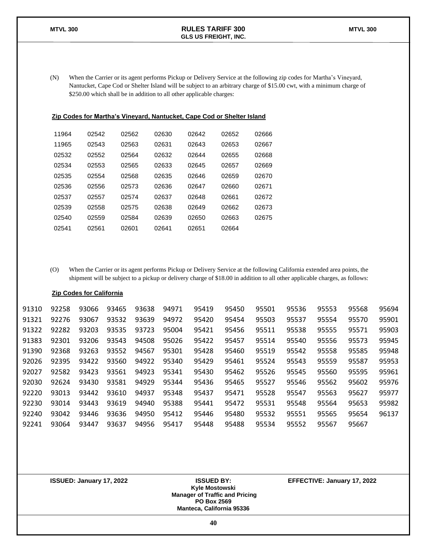(N) When the Carrier or its agent performs Pickup or Delivery Service at the following zip codes for Martha's Vineyard, Nantucket, Cape Cod or Shelter Island will be subject to an arbitrary charge of \$15.00 cwt, with a minimum charge of \$250.00 which shall be in addition to all other applicable charges:

#### **Zip Codes for Martha's Vineyard, Nantucket, Cape Cod or Shelter Island**

| 11964 | 02542 | 02562 | 02630 | 02642 | 02652 | 02666 |
|-------|-------|-------|-------|-------|-------|-------|
| 11965 | 02543 | 02563 | 02631 | 02643 | 02653 | 02667 |
| 02532 | 02552 | 02564 | 02632 | 02644 | 02655 | 02668 |
| 02534 | 02553 | 02565 | 02633 | 02645 | 02657 | 02669 |
| 02535 | 02554 | 02568 | 02635 | 02646 | 02659 | 02670 |
| 02536 | 02556 | 02573 | 02636 | 02647 | 02660 | 02671 |
| 02537 | 02557 | 02574 | 02637 | 02648 | 02661 | 02672 |
| 02539 | 02558 | 02575 | 02638 | 02649 | 02662 | 02673 |
| 02540 | 02559 | 02584 | 02639 | 02650 | 02663 | 02675 |
| 02541 | 02561 | 02601 | 02641 | 02651 | 02664 |       |

(O) When the Carrier or its agent performs Pickup or Delivery Service at the following California extended area points, the shipment will be subject to a pickup or delivery charge of \$18.00 in addition to all other applicable charges, as follows:

#### **Zip Codes for California**

| 91310 | 92258 | 93066 | 93465 | 93638 | 94971 | 95419 | 95450 | 95501 | 95536 | 95553 | 95568 | 95694 |
|-------|-------|-------|-------|-------|-------|-------|-------|-------|-------|-------|-------|-------|
| 91321 | 92276 | 93067 | 93532 | 93639 | 94972 | 95420 | 95454 | 95503 | 95537 | 95554 | 95570 | 95901 |
| 91322 | 92282 | 93203 | 93535 | 93723 | 95004 | 95421 | 95456 | 95511 | 95538 | 95555 | 95571 | 95903 |
| 91383 | 92301 | 93206 | 93543 | 94508 | 95026 | 95422 | 95457 | 95514 | 95540 | 95556 | 95573 | 95945 |
| 91390 | 92368 | 93263 | 93552 | 94567 | 95301 | 95428 | 95460 | 95519 | 95542 | 95558 | 95585 | 95948 |
| 92026 | 92395 | 93422 | 93560 | 94922 | 95340 | 95429 | 95461 | 95524 | 95543 | 95559 | 95587 | 95953 |
| 92027 | 92582 | 93423 | 93561 | 94923 | 95341 | 95430 | 95462 | 95526 | 95545 | 95560 | 95595 | 95961 |
| 92030 | 92624 | 93430 | 93581 | 94929 | 95344 | 95436 | 95465 | 95527 | 95546 | 95562 | 95602 | 95976 |
| 92220 | 93013 | 93442 | 93610 | 94937 | 95348 | 95437 | 95471 | 95528 | 95547 | 95563 | 95627 | 95977 |
| 92230 | 93014 | 93443 | 93619 | 94940 | 95388 | 95441 | 95472 | 95531 | 95548 | 95564 | 95653 | 95982 |
| 92240 | 93042 | 93446 | 93636 | 94950 | 95412 | 95446 | 95480 | 95532 | 95551 | 95565 | 95654 | 96137 |
| 92241 | 93064 | 93447 | 93637 | 94956 | 95417 | 95448 | 95488 | 95534 | 95552 | 95567 | 95667 |       |

**Kyle Mostowski**

**ISSUED: January 17, 2022 ISSUED BY: EFFECTIVE: January 17, 2022**

**Manager of Traffic and Pricing PO Box 2569 Manteca, California 95336**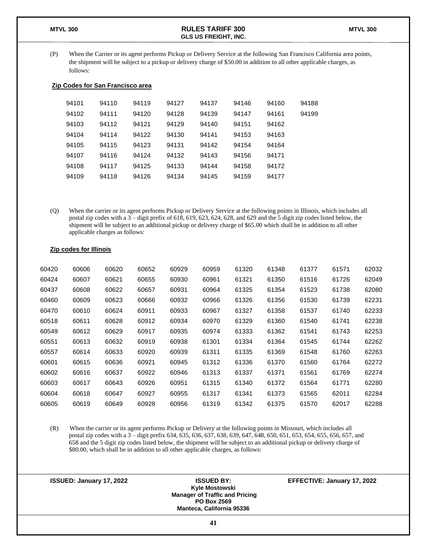(P) When the Carrier or its agent performs Pickup or Delivery Service at the following San Francisco California area points, the shipment will be subject to a pickup or delivery charge of \$50.00 in addition to all other applicable charges, as follows:

### **Zip Codes for San Francisco area**

| 94101 | 94110 | 94119 | 94127 | 94137 | 94146 | 94160 | 94188 |
|-------|-------|-------|-------|-------|-------|-------|-------|
| 94102 | 94111 | 94120 | 94128 | 94139 | 94147 | 94161 | 94199 |
| 94103 | 94112 | 94121 | 94129 | 94140 | 94151 | 94162 |       |
| 94104 | 94114 | 94122 | 94130 | 94141 | 94153 | 94163 |       |
| 94105 | 94115 | 94123 | 94131 | 94142 | 94154 | 94164 |       |
| 94107 | 94116 | 94124 | 94132 | 94143 | 94156 | 94171 |       |
| 94108 | 94117 | 94125 | 94133 | 94144 | 94158 | 94172 |       |
| 94109 | 94118 | 94126 | 94134 | 94145 | 94159 | 94177 |       |
|       |       |       |       |       |       |       |       |

(Q) When the carrier or its agent performs Pickup or Delivery Service at the following points in Illinois, which includes all postal zip codes with a 3 – digit prefix of 618, 619, 623, 624, 628, and 629 and the 5 digit zip codes listed below, the shipment will be subject to an additional pickup or delivery charge of \$65.00 which shall be in addition to all other applicable charges as follows:

|  |  |  |  | <b>Zip codes for Illinois</b> |
|--|--|--|--|-------------------------------|
|--|--|--|--|-------------------------------|

| 60420 | 60606 | 60620 | 60652 | 60929 | 60959 | 61320 | 61348 | 61377 | 61571 | 62032 |
|-------|-------|-------|-------|-------|-------|-------|-------|-------|-------|-------|
| 60424 | 60607 | 60621 | 60655 | 60930 | 60961 | 61321 | 61350 | 61516 | 61726 | 62049 |
| 60437 | 60608 | 60622 | 60657 | 60931 | 60964 | 61325 | 61354 | 61523 | 61738 | 62080 |
| 60460 | 60609 | 60623 | 60666 | 60932 | 60966 | 61326 | 61356 | 61530 | 61739 | 62231 |
| 60470 | 60610 | 60624 | 60911 | 60933 | 60967 | 61327 | 61358 | 61537 | 61740 | 62233 |
| 60518 | 60611 | 60628 | 60912 | 60934 | 60970 | 61329 | 61360 | 61540 | 61741 | 62238 |
| 60549 | 60612 | 60629 | 60917 | 60935 | 60974 | 61333 | 61362 | 61541 | 61743 | 62253 |
| 60551 | 60613 | 60632 | 60919 | 60938 | 61301 | 61334 | 61364 | 61545 | 61744 | 62262 |
| 60557 | 60614 | 60633 | 60920 | 60939 | 61311 | 61335 | 61369 | 61548 | 61760 | 62263 |
| 60601 | 60615 | 60636 | 60921 | 60945 | 61312 | 61336 | 61370 | 61560 | 61764 | 62272 |
| 60602 | 60616 | 60637 | 60922 | 60946 | 61313 | 61337 | 61371 | 61561 | 61769 | 62274 |
| 60603 | 60617 | 60643 | 60926 | 60951 | 61315 | 61340 | 61372 | 61564 | 61771 | 62280 |
| 60604 | 60618 | 60647 | 60927 | 60955 | 61317 | 61341 | 61373 | 61565 | 62011 | 62284 |
| 60605 | 60619 | 60649 | 60928 | 60956 | 61319 | 61342 | 61375 | 61570 | 62017 | 62288 |

(R) When the carrier or its agent performs Pickup or Delivery at the following points in Missouri, which includes all postal zip codes with a 3 – digit prefix 634, 635, 636, 637, 638, 639, 647, 648, 650, 651, 653, 654, 655, 656, 657, and 658 and the 5 digit zip codes listed below, the shipment will be subject to an additional pickup or delivery charge of \$80.00, which shall be in addition to all other applicable charges, as follows: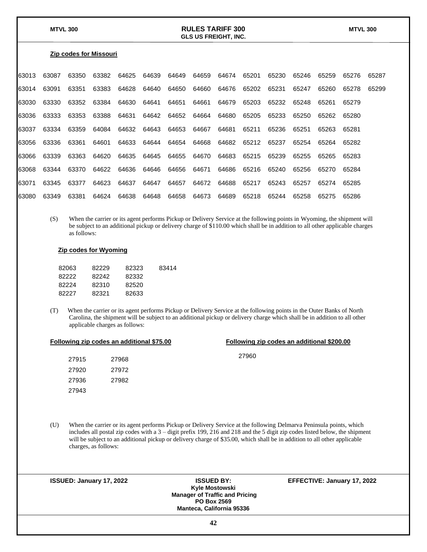#### **Zip codes for Missouri**

| 63013  | 63087       | 63350 | 63382 | 64625 | 64639 | 64649 | 64659 | 64674 | 65201 | 65230 | 65246 | 65259 | 65276 65287 |       |
|--------|-------------|-------|-------|-------|-------|-------|-------|-------|-------|-------|-------|-------|-------------|-------|
| 163014 | 63091       | 63351 | 63383 | 64628 | 64640 | 64650 | 64660 | 64676 | 65202 | 65231 | 65247 | 65260 | 65278       | 65299 |
| 63030  | 63330       | 63352 | 63384 | 64630 | 64641 | 64651 | 64661 | 64679 | 65203 | 65232 | 65248 | 65261 | 65279       |       |
|        | 63036 63333 | 63353 | 63388 | 64631 | 64642 | 64652 | 64664 | 64680 | 65205 | 65233 | 65250 | 65262 | 65280       |       |
| 63037  | 63334       | 63359 | 64084 | 64632 | 64643 | 64653 | 64667 | 64681 | 65211 | 65236 | 65251 | 65263 | 65281       |       |
| 163056 | 63336       | 63361 | 64601 | 64633 | 64644 | 64654 | 64668 | 64682 | 65212 | 65237 | 65254 | 65264 | 65282       |       |
| 63066  | 63339       | 63363 | 64620 | 64635 | 64645 | 64655 | 64670 | 64683 | 65215 | 65239 | 65255 | 65265 | 65283       |       |
| 163068 | 63344       | 63370 | 64622 | 64636 | 64646 | 64656 | 64671 | 64686 | 65216 | 65240 | 65256 | 65270 | 65284       |       |
| 63071  | 63345       | 63377 | 64623 | 64637 | 64647 | 64657 | 64672 | 64688 | 65217 | 65243 | 65257 | 65274 | 65285       |       |
| 63080  | 63349       | 63381 | 64624 | 64638 | 64648 | 64658 | 64673 | 64689 | 65218 | 65244 | 65258 | 65275 | 65286       |       |

(S) When the carrier or its agent performs Pickup or Delivery Service at the following points in Wyoming, the shipment will be subject to an additional pickup or delivery charge of \$110.00 which shall be in addition to all other applicable charges as follows:

#### **Zip codes for Wyoming**

| 82063 | 82229 | 82323 | 83414 |
|-------|-------|-------|-------|
| 82222 | 82242 | 82332 |       |
| 82224 | 82310 | 82520 |       |
| 82227 | 82321 | 82633 |       |
|       |       |       |       |

(T) When the carrier or its agent performs Pickup or Delivery Service at the following points in the Outer Banks of North Carolina, the shipment will be subject to an additional pickup or delivery charge which shall be in addition to all other applicable charges as follows:

| Following zip codes an additional \$200.00 | Following zip codes an additional \$75.00 |  |  |
|--------------------------------------------|-------------------------------------------|--|--|
|--------------------------------------------|-------------------------------------------|--|--|

| 27915 | 27968 | 27960 |
|-------|-------|-------|
| 27920 | 27972 |       |
| 27936 | 27982 |       |
| 27943 |       |       |

(U) When the carrier or its agent performs Pickup or Delivery Service at the following Delmarva Peninsula points, which includes all postal zip codes with a 3 – digit prefix 199, 216 and 218 and the 5 digit zip codes listed below, the shipment will be subject to an additional pickup or delivery charge of \$35.00, which shall be in addition to all other applicable charges, as follows:

| ISSUED: January 17, 2022 | <b>ISSUED BY:</b><br>Kyle Mostowski<br><b>Manager of Traffic and Pricing</b><br><b>PO Box 2569</b><br><b>Manteca, California 95336</b> | EFFECTIVE: January 17, 2022 |
|--------------------------|----------------------------------------------------------------------------------------------------------------------------------------|-----------------------------|
|                          | 42                                                                                                                                     |                             |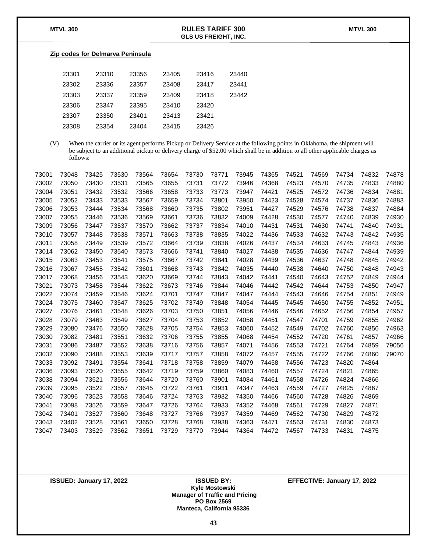#### **Zip codes for Delmarva Peninsula**

| 23301 | 23310 | 23356 | 23405 | 23416 | 23440 |
|-------|-------|-------|-------|-------|-------|
| 23302 | 23336 | 23357 | 23408 | 23417 | 23441 |
| 23303 | 23337 | 23359 | 23409 | 23418 | 23442 |
| 23306 | 23347 | 23395 | 23410 | 23420 |       |
| 23307 | 23350 | 23401 | 23413 | 23421 |       |
| 23308 | 23354 | 23404 | 23415 | 23426 |       |

(V) When the carrier or its agent performs Pickup or Delivery Service at the following points in Oklahoma, the shipment will be subject to an additional pickup or delivery charge of \$52.00 which shall be in addition to all other applicable charges as follows:

| 73001 | 73048 | 73425 | 73530 | 73564 | 73654 | 73730 | 73771 | 73945 | 74365 | 74521 | 74569 | 74734 | 74832 | 74878 |
|-------|-------|-------|-------|-------|-------|-------|-------|-------|-------|-------|-------|-------|-------|-------|
| 73002 | 73050 | 73430 | 73531 | 73565 | 73655 | 73731 | 73772 | 73946 | 74368 | 74523 | 74570 | 74735 | 74833 | 74880 |
| 73004 | 73051 | 73432 | 73532 | 73566 | 73658 | 73733 | 73773 | 73947 | 74421 | 74525 | 74572 | 74736 | 74834 | 74881 |
| 73005 | 73052 | 73433 | 73533 | 73567 | 73659 | 73734 | 73801 | 73950 | 74423 | 74528 | 74574 | 74737 | 74836 | 74883 |
| 73006 | 73053 | 73444 | 73534 | 73568 | 73660 | 73735 | 73802 | 73951 | 74427 | 74529 | 74576 | 74738 | 74837 | 74884 |
| 73007 | 73055 | 73446 | 73536 | 73569 | 73661 | 73736 | 73832 | 74009 | 74428 | 74530 | 74577 | 74740 | 74839 | 74930 |
| 73009 | 73056 | 73447 | 73537 | 73570 | 73662 | 73737 | 73834 | 74010 | 74431 | 74531 | 74630 | 74741 | 74840 | 74931 |
| 73010 | 73057 | 73448 | 73538 | 73571 | 73663 | 73738 | 73835 | 74022 | 74436 | 74533 | 74632 | 74743 | 74842 | 74935 |
| 73011 | 73058 | 73449 | 73539 | 73572 | 73664 | 73739 | 73838 | 74026 | 74437 | 74534 | 74633 | 74745 | 74843 | 74936 |
| 73014 | 73062 | 73450 | 73540 | 73573 | 73666 | 73741 | 73840 | 74027 | 74438 | 74535 | 74636 | 74747 | 74844 | 74939 |
| 73015 | 73063 | 73453 | 73541 | 73575 | 73667 | 73742 | 73841 | 74028 | 74439 | 74536 | 74637 | 74748 | 74845 | 74942 |
| 73016 | 73067 | 73455 | 73542 | 73601 | 73668 | 73743 | 73842 | 74035 | 74440 | 74538 | 74640 | 74750 | 74848 | 74943 |
| 73017 | 73068 | 73456 | 73543 | 73620 | 73669 | 73744 | 73843 | 74042 | 74441 | 74540 | 74643 | 74752 | 74849 | 74944 |
| 73021 | 73073 | 73458 | 73544 | 73622 | 73673 | 73746 | 73844 | 74046 | 74442 | 74542 | 74644 | 74753 | 74850 | 74947 |
| 73022 | 73074 | 73459 | 73546 | 73624 | 73701 | 73747 | 73847 | 74047 | 74444 | 74543 | 74646 | 74754 | 74851 | 74949 |
| 73024 | 73075 | 73460 | 73547 | 73625 | 73702 | 73749 | 73848 | 74054 | 74445 | 74545 | 74650 | 74755 | 74852 | 74951 |
| 73027 | 73076 | 73461 | 73548 | 73626 | 73703 | 73750 | 73851 | 74056 | 74446 | 74546 | 74652 | 74756 | 74854 | 74957 |
| 73028 | 73079 | 73463 | 73549 | 73627 | 73704 | 73753 | 73852 | 74058 | 74451 | 74547 | 74701 | 74759 | 74855 | 74962 |
| 73029 | 73080 | 73476 | 73550 | 73628 | 73705 | 73754 | 73853 | 74060 | 74452 | 74549 | 74702 | 74760 | 74856 | 74963 |
| 73030 | 73082 | 73481 | 73551 | 73632 | 73706 | 73755 | 73855 | 74068 | 74454 | 74552 | 74720 | 74761 | 74857 | 74966 |
| 73031 | 73086 | 73487 | 73552 | 73638 | 73716 | 73756 | 73857 | 74071 | 74456 | 74553 | 74721 | 74764 | 74859 | 79056 |
| 73032 | 73090 | 73488 | 73553 | 73639 | 73717 | 73757 | 73858 | 74072 | 74457 | 74555 | 74722 | 74766 | 74860 | 79070 |
| 73033 | 73092 | 73491 | 73554 | 73641 | 73718 | 73758 | 73859 | 74079 | 74458 | 74556 | 74723 | 74820 | 74864 |       |
| 73036 | 73093 | 73520 | 73555 | 73642 | 73719 | 73759 | 73860 | 74083 | 74460 | 74557 | 74724 | 74821 | 74865 |       |
| 73038 | 73094 | 73521 | 73556 | 73644 | 73720 | 73760 | 73901 | 74084 | 74461 | 74558 | 74726 | 74824 | 74866 |       |
| 73039 | 73095 | 73522 | 73557 | 73645 | 73722 | 73761 | 73931 | 74347 | 74463 | 74559 | 74727 | 74825 | 74867 |       |
| 73040 | 73096 | 73523 | 73558 | 73646 | 73724 | 73763 | 73932 | 74350 | 74466 | 74560 | 74728 | 74826 | 74869 |       |
| 73041 | 73098 | 73526 | 73559 | 73647 | 73726 | 73764 | 73933 | 74352 | 74468 | 74561 | 74729 | 74827 | 74871 |       |
| 73042 | 73401 | 73527 | 73560 | 73648 | 73727 | 73766 | 73937 | 74359 | 74469 | 74562 | 74730 | 74829 | 74872 |       |
| 73043 | 73402 | 73528 | 73561 | 73650 | 73728 | 73768 | 73938 | 74363 | 74471 | 74563 | 74731 | 74830 | 74873 |       |
| 73047 | 73403 | 73529 | 73562 | 73651 | 73729 | 73770 | 73944 | 74364 | 74472 | 74567 | 74733 | 74831 | 74875 |       |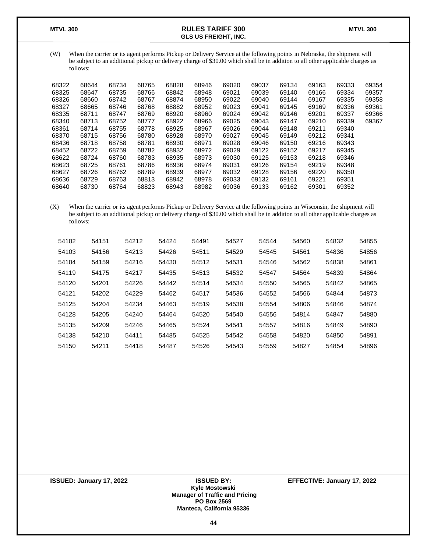(W) When the carrier or its agent performs Pickup or Delivery Service at the following points in Nebraska, the shipment will be subject to an additional pickup or delivery charge of \$30.00 which shall be in addition to all other applicable charges as follows:

| 68322 | 68644 | 68734 | 68765 | 68828 | 68946 | 69020 | 69037 | 69134 | 69163 | 69333 | 69354 |
|-------|-------|-------|-------|-------|-------|-------|-------|-------|-------|-------|-------|
| 68325 | 68647 | 68735 | 68766 | 68842 | 68948 | 69021 | 69039 | 69140 | 69166 | 69334 | 69357 |
| 68326 | 68660 | 68742 | 68767 | 68874 | 68950 | 69022 | 69040 | 69144 | 69167 | 69335 | 69358 |
| 68327 | 68665 | 68746 | 68768 | 68882 | 68952 | 69023 | 69041 | 69145 | 69169 | 69336 | 69361 |
| 68335 | 68711 | 68747 | 68769 | 68920 | 68960 | 69024 | 69042 | 69146 | 69201 | 69337 | 69366 |
| 68340 | 68713 | 68752 | 68777 | 68922 | 68966 | 69025 | 69043 | 69147 | 69210 | 69339 | 69367 |
| 68361 | 68714 | 68755 | 68778 | 68925 | 68967 | 69026 | 69044 | 69148 | 69211 | 69340 |       |
| 68370 | 68715 | 68756 | 68780 | 68928 | 68970 | 69027 | 69045 | 69149 | 69212 | 69341 |       |
| 68436 | 68718 | 68758 | 68781 | 68930 | 68971 | 69028 | 69046 | 69150 | 69216 | 69343 |       |
| 68452 | 68722 | 68759 | 68782 | 68932 | 68972 | 69029 | 69122 | 69152 | 69217 | 69345 |       |
| 68622 | 68724 | 68760 | 68783 | 68935 | 68973 | 69030 | 69125 | 69153 | 69218 | 69346 |       |
| 68623 | 68725 | 68761 | 68786 | 68936 | 68974 | 69031 | 69126 | 69154 | 69219 | 69348 |       |
| 68627 | 68726 | 68762 | 68789 | 68939 | 68977 | 69032 | 69128 | 69156 | 69220 | 69350 |       |
| 68636 | 68729 | 68763 | 68813 | 68942 | 68978 | 69033 | 69132 | 69161 | 69221 | 69351 |       |
| 68640 | 68730 | 68764 | 68823 | 68943 | 68982 | 69036 | 69133 | 69162 | 69301 | 69352 |       |
|       |       |       |       |       |       |       |       |       |       |       |       |

(X) When the carrier or its agent performs Pickup or Delivery Service at the following points in Wisconsin, the shipment will be subject to an additional pickup or delivery charge of \$30.00 which shall be in addition to all other applicable charges as follows:

| 54102 | 54151 | 54212 | 54424 | 54491 | 54527 | 54544 | 54560 | 54832 | 54855 |
|-------|-------|-------|-------|-------|-------|-------|-------|-------|-------|
| 54103 | 54156 | 54213 | 54426 | 54511 | 54529 | 54545 | 54561 | 54836 | 54856 |
| 54104 | 54159 | 54216 | 54430 | 54512 | 54531 | 54546 | 54562 | 54838 | 54861 |
| 54119 | 54175 | 54217 | 54435 | 54513 | 54532 | 54547 | 54564 | 54839 | 54864 |
| 54120 | 54201 | 54226 | 54442 | 54514 | 54534 | 54550 | 54565 | 54842 | 54865 |
| 54121 | 54202 | 54229 | 54462 | 54517 | 54536 | 54552 | 54566 | 54844 | 54873 |
| 54125 | 54204 | 54234 | 54463 | 54519 | 54538 | 54554 | 54806 | 54846 | 54874 |
| 54128 | 54205 | 54240 | 54464 | 54520 | 54540 | 54556 | 54814 | 54847 | 54880 |
| 54135 | 54209 | 54246 | 54465 | 54524 | 54541 | 54557 | 54816 | 54849 | 54890 |
| 54138 | 54210 | 54411 | 54485 | 54525 | 54542 | 54558 | 54820 | 54850 | 54891 |
| 54150 | 54211 | 54418 | 54487 | 54526 | 54543 | 54559 | 54827 | 54854 | 54896 |

**Kyle Mostowski Manager of Traffic and Pricing PO Box 2569 Manteca, California 95336**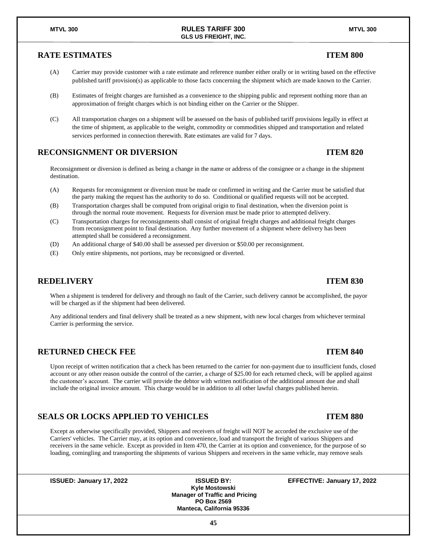### **RATE ESTIMATES ITEM 800**

- (A) Carrier may provide customer with a rate estimate and reference number either orally or in writing based on the effective published tariff provision(s) as applicable to those facts concerning the shipment which are made known to the Carrier.
- (B) Estimates of freight charges are furnished as a convenience to the shipping public and represent nothing more than an approximation of freight charges which is not binding either on the Carrier or the Shipper.
- (C) All transportation charges on a shipment will be assessed on the basis of published tariff provisions legally in effect at the time of shipment, as applicable to the weight, commodity or commodities shipped and transportation and related services performed in connection therewith. Rate estimates are valid for 7 days.

### **RECONSIGNMENT OR DIVERSION ITEM 820**

Reconsignment or diversion is defined as being a change in the name or address of the consignee or a change in the shipment destination.

- (A) Requests for reconsignment or diversion must be made or confirmed in writing and the Carrier must be satisfied that the party making the request has the authority to do so. Conditional or qualified requests will not be accepted.
- (B) Transportation charges shall be computed from original origin to final destination, when the diversion point is through the normal route movement. Requests for diversion must be made prior to attempted delivery.
- (C) Transportation charges for reconsignments shall consist of original freight charges and additional freight charges from reconsignment point to final destination. Any further movement of a shipment where delivery has been attempted shall be considered a reconsignment.
- (D) An additional charge of \$40.00 shall be assessed per diversion or \$50.00 per reconsignment.
- (E) Only entire shipments, not portions, may be reconsigned or diverted.

#### **REDELIVERY** ITEM 830

When a shipment is tendered for delivery and through no fault of the Carrier, such delivery cannot be accomplished, the payor will be charged as if the shipment had been delivered.

Any additional tenders and final delivery shall be treated as a new shipment, with new local charges from whichever terminal Carrier is performing the service.

#### **RETURNED CHECK FEE ITEM 840**

Upon receipt of written notification that a check has been returned to the carrier for non-payment due to insufficient funds, closed account or any other reason outside the control of the carrier, a charge of \$25.00 for each returned check, will be applied against the customer's account. The carrier will provide the debtor with written notification of the additional amount due and shall include the original invoice amount. This charge would be in addition to all other lawful charges published herein.

### **SEALS OR LOCKS APPLIED TO VEHICLES ITEM 880**

Except as otherwise specifically provided, Shippers and receivers of freight will NOT be accorded the exclusive use of the Carriers' vehicles. The Carrier may, at its option and convenience, load and transport the freight of various Shippers and receivers in the same vehicle. Except as provided in Item 470, the Carrier at its option and convenience, for the purpose of so loading, comingling and transporting the shipments of various Shippers and receivers in the same vehicle, may remove seals

**Kyle Mostowski Manager of Traffic and Pricing PO Box 2569 Manteca, California 95336**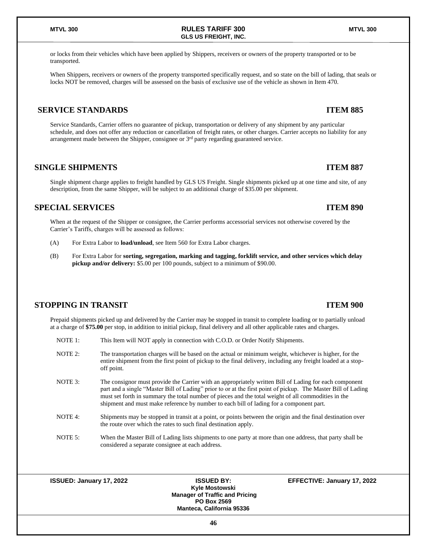or locks from their vehicles which have been applied by Shippers, receivers or owners of the property transported or to be transported.

When Shippers, receivers or owners of the property transported specifically request, and so state on the bill of lading, that seals or locks NOT be removed, charges will be assessed on the basis of exclusive use of the vehicle as shown in Item 470.

**GLS US FREIGHT, INC.**

### **SERVICE STANDARDS ITEM 885**

Service Standards, Carrier offers no guarantee of pickup, transportation or delivery of any shipment by any particular schedule, and does not offer any reduction or cancellation of freight rates, or other charges. Carrier accepts no liability for any arrangement made between the Shipper, consignee or 3rd party regarding guaranteed service.

#### **SINGLE SHIPMENTS ITEM 887**

Single shipment charge applies to freight handled by GLS US Freight. Single shipments picked up at one time and site, of any description, from the same Shipper, will be subject to an additional charge of \$35.00 per shipment.

### **SPECIAL SERVICES ITEM 890**

When at the request of the Shipper or consignee, the Carrier performs accessorial services not otherwise covered by the Carrier's Tariffs, charges will be assessed as follows:

- (A) For Extra Labor to **load/unload**, see Item 560 for Extra Labor charges.
- (B) For Extra Labor for **sorting, segregation, marking and tagging, forklift service, and other services which delay pickup and/or delivery:** \$5.00 per 100 pounds, subject to a minimum of \$90.00.

### **STOPPING IN TRANSIT ITEM 900**

Prepaid shipments picked up and delivered by the Carrier may be stopped in transit to complete loading or to partially unload at a charge of **\$75.00** per stop, in addition to initial pickup, final delivery and all other applicable rates and charges.

NOTE 1: This Item will NOT apply in connection with C.O.D. or Order Notify Shipments.

NOTE 2: The transportation charges will be based on the actual or minimum weight, whichever is higher, for the entire shipment from the first point of pickup to the final delivery, including any freight loaded at a stopoff point. NOTE 3: The consignor must provide the Carrier with an appropriately written Bill of Lading for each component part and a single "Master Bill of Lading" prior to or at the first point of pickup. The Master Bill of Lading must set forth in summary the total number of pieces and the total weight of all commodities in the shipment and must make reference by number to each bill of lading for a component part. NOTE 4: Shipments may be stopped in transit at a point, or points between the origin and the final destination over the route over which the rates to such final destination apply. NOTE 5: When the Master Bill of Lading lists shipments to one party at more than one address, that party shall be considered a separate consignee at each address.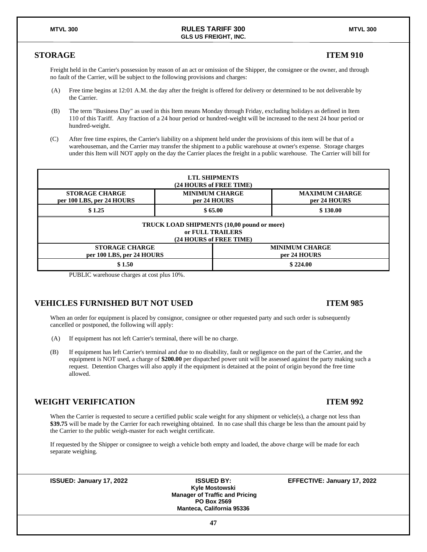#### **STORAGE ITEM 910**

Freight held in the Carrier's possession by reason of an act or omission of the Shipper, the consignee or the owner, and through no fault of the Carrier, will be subject to the following provisions and charges:

- (A) Free time begins at 12:01 A.M. the day after the freight is offered for delivery or determined to be not deliverable by the Carrier.
- (B) The term "Business Day" as used in this Item means Monday through Friday, excluding holidays as defined in Item 110 of this Tariff. Any fraction of a 24 hour period or hundred-weight will be increased to the next 24 hour period or hundred-weight.
- (C) After free time expires, the Carrier's liability on a shipment held under the provisions of this item will be that of a warehouseman, and the Carrier may transfer the shipment to a public warehouse at owner's expense. Storage charges under this Item will NOT apply on the day the Carrier places the freight in a public warehouse. The Carrier will bill for



PUBLIC warehouse charges at cost plus 10%.

### **VEHICLES FURNISHED BUT NOT USED ITEM 985**

#### When an order for equipment is placed by consignor, consignee or other requested party and such order is subsequently cancelled or postponed, the following will apply:

- (A) If equipment has not left Carrier's terminal, there will be no charge.
- (B) If equipment has left Carrier's terminal and due to no disability, fault or negligence on the part of the Carrier, and the equipment is NOT used, a charge of **\$200.00** per dispatched power unit will be assessed against the party making such a request. Detention Charges will also apply if the equipment is detained at the point of origin beyond the free time allowed.

### **WEIGHT VERIFICATION ITEM 992**

When the Carrier is requested to secure a certified public scale weight for any shipment or vehicle(s), a charge not less than **\$39.75** will be made by the Carrier for each reweighing obtained. In no case shall this charge be less than the amount paid by the Carrier to the public weigh-master for each weight certificate.

If requested by the Shipper or consignee to weigh a vehicle both empty and loaded, the above charge will be made for each separate weighing.

**Kyle Mostowski Manager of Traffic and Pricing PO Box 2569 Manteca, California 95336**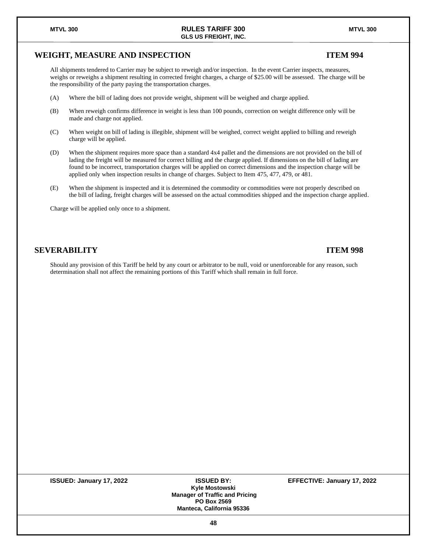# **ISSUED: January 17, 2022 ISSUED BY: EFFECTIVE: January 17, 2022**

#### **Kyle Mostowski Manager of Traffic and Pricing PO Box 2569 Manteca, California 95336**

### **WEIGHT, MEASURE AND INSPECTION ITEM 994**

All shipments tendered to Carrier may be subject to reweigh and/or inspection. In the event Carrier inspects, measures, weighs or reweighs a shipment resulting in corrected freight charges, a charge of \$25.00 will be assessed. The charge will be the responsibility of the party paying the transportation charges.

- (A) Where the bill of lading does not provide weight, shipment will be weighed and charge applied.
- (B) When reweigh confirms difference in weight is less than 100 pounds, correction on weight difference only will be made and charge not applied.
- (C) When weight on bill of lading is illegible, shipment will be weighed, correct weight applied to billing and reweigh charge will be applied.
- (D) When the shipment requires more space than a standard 4x4 pallet and the dimensions are not provided on the bill of lading the freight will be measured for correct billing and the charge applied. If dimensions on the bill of lading are found to be incorrect, transportation charges will be applied on correct dimensions and the inspection charge will be applied only when inspection results in change of charges. Subject to Item 475, 477, 479, or 481.
- (E) When the shipment is inspected and it is determined the commodity or commodities were not properly described on the bill of lading, freight charges will be assessed on the actual commodities shipped and the inspection charge applied.

Charge will be applied only once to a shipment.

### **SEVERABILITY ITEM 998**

Should any provision of this Tariff be held by any court or arbitrator to be null, void or unenforceable for any reason, such determination shall not affect the remaining portions of this Tariff which shall remain in full force.

#### **MTVL 300 RULES TARIFF 300 MTVL 300 GLS US FREIGHT, INC.**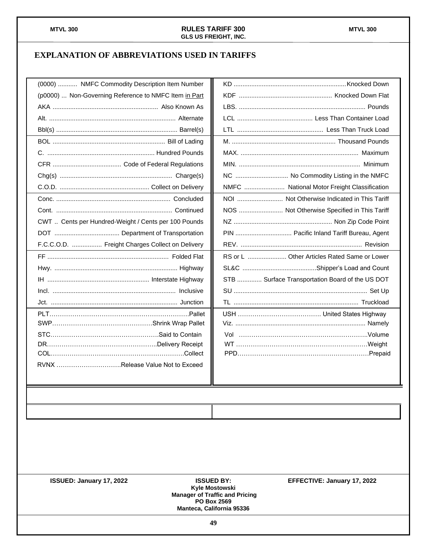## **EXPLANATION OF ABBREVIATIONS USED IN TARIFFS**

| (0000)  NMFC Commodity Description Item Number        |                                                 |
|-------------------------------------------------------|-------------------------------------------------|
| (p0000)  Non-Governing Reference to NMFC Item in Part |                                                 |
|                                                       |                                                 |
|                                                       |                                                 |
|                                                       |                                                 |
|                                                       |                                                 |
|                                                       |                                                 |
|                                                       |                                                 |
|                                                       | NC  No Commodity Listing in the NMFC            |
|                                                       | NMFC  National Motor Freight Classification     |
|                                                       |                                                 |
|                                                       | NOS  Not Otherwise Specified in This Tariff     |
| CWT  Cents per Hundred-Weight / Cents per 100 Pounds  |                                                 |
|                                                       | PIN  Pacific Inland Tariff Bureau, Agent        |
| F.C.C.O.D.  Freight Charges Collect on Delivery       |                                                 |
|                                                       | RS or L  Other Articles Rated Same or Lower     |
|                                                       |                                                 |
|                                                       | STB  Surface Transportation Board of the US DOT |
|                                                       |                                                 |
|                                                       |                                                 |
|                                                       |                                                 |
|                                                       |                                                 |
|                                                       |                                                 |
|                                                       |                                                 |
|                                                       |                                                 |
| RVNX Release Value Not to Exceed                      |                                                 |
|                                                       |                                                 |
|                                                       |                                                 |

**Kyle Mostowski Manager of Traffic and Pricing PO Box 2569 Manteca, California 95336**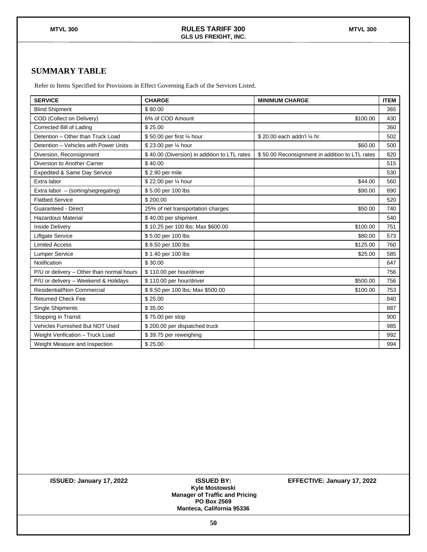### **SUMMARY TABLE**

Refer to Items Specified for Provisions in Effect Governing Each of the Services Listed.

| <b>SERVICE</b>                            | <b>CHARGE</b>                                | <b>MINIMUM CHARGE</b>                          | <b>ITEM</b> |
|-------------------------------------------|----------------------------------------------|------------------------------------------------|-------------|
| <b>Blind Shipment</b>                     | \$80.00                                      |                                                | 365         |
| COD (Collect on Delivery)                 | 6% of COD Amount                             | \$100.00                                       | 430         |
| Corrected Bill of Lading                  | \$25.00                                      |                                                | 360         |
| Detention - Other than Truck Load         | \$50.00 per first 1/4 hour                   | \$20.00 each addn'l 1/4 hr.                    | 502         |
| Detention - Vehicles with Power Units     | \$23.00 per 1/4 hour                         | \$60.00                                        | 500         |
| Diversion, Reconsignment                  | \$40.00 (Diversion) in addition to LTL rates | \$50.00 Reconsignment in addition to LTL rates | 820         |
| Diversion to Another Carrier              | \$40.00                                      |                                                | 515         |
| Expedited & Same Day Service              | \$2.90 per mile                              |                                                | 530         |
| Extra labor                               | \$22.00 per 1/4 hour                         | \$44.00                                        | 560         |
| Extra labor - (sorting/segregating)       | \$5.00 per 100 lbs                           | \$90.00                                        | 890         |
| <b>Flatbed Service</b>                    | \$200.00                                     |                                                | 520         |
| <b>Guaranteed - Direct</b>                | 25% of net transportation charges            | \$50.00                                        | 740         |
| <b>Hazardous Material</b>                 | \$40.00 per shipment                         |                                                | 540         |
| <b>Inside Delivery</b>                    | \$10.25 per 100 lbs; Max \$600.00            | \$100.00                                       | 751         |
| Liftgate Service                          | \$5.00 per 100 lbs                           | \$80.00                                        | 573         |
| <b>Limited Access</b>                     | \$8.50 per 100 lbs                           | \$125.00                                       | 760         |
| <b>Lumper Service</b>                     | \$1.40 per 100 lbs                           | \$25.00                                        | 585         |
| Notification                              | \$30.00                                      |                                                | 647         |
| P/U or delivery - Other than normal hours | \$110.00 per hour/driver                     |                                                | 756         |
| P/U or delivery - Weekend & Holidays      | \$110.00 per hour/driver                     | \$500.00                                       | 756         |
| Residential/Non Commercial                | \$8.50 per 100 lbs; Max \$500.00             | \$100.00                                       | 753         |
| <b>Returned Check Fee</b>                 | \$25.00                                      |                                                | 840         |
| Single Shipments                          | \$35.00                                      |                                                | 887         |
| Stopping in Transit                       | \$75.00 per stop                             |                                                | 900         |
| <b>Vehicles Furnished But NOT Used</b>    | \$200.00 per dispatched truck                |                                                | 985         |
| Weight Verification - Truck Load          | \$39.75 per reweighing                       |                                                | 992         |
| Weight Measure and Inspection             | \$25.00                                      |                                                | 994         |